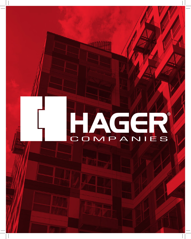# COMPANIES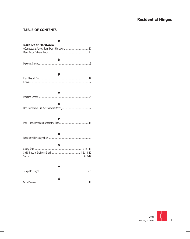### **TABLE OF CONTENTS**

| в                         |
|---------------------------|
| <b>Barn Door Hardware</b> |
| D                         |
| F                         |
| M                         |
| N                         |
| Р                         |
| R.                        |
| s                         |
| T.                        |
| w                         |

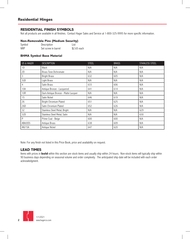#### **RESIDENTIAL FINISH SYMBOLS**

Not all products are available in all finishes. Contact Hager Sales and Service at 1-800-325-9995 for more specific information.

#### **Non-Removable Pins (Medium Security)**

| Symbol     | Description         | List        |
|------------|---------------------|-------------|
| <b>NRP</b> | Set screw in barrel | \$2.65 each |

#### **BHMA Symbol Base Material**

| <b>US &amp; HAGER</b> | <b>DESCRIPTION</b>                  | <b>STEEL</b> | <b>BRASS</b> | <b>STAINLESS STEEL</b> |
|-----------------------|-------------------------------------|--------------|--------------|------------------------|
| 1D                    | <b>Black</b>                        | N/A          | N/A          | N/A                    |
| 2D                    | <b>Brass Tone Dichromate</b>        | N/A          | N/A          | N/A                    |
| 3                     | <b>Bright Brass</b>                 | 632          | 605          | N/A                    |
| 3LB                   | Light Brass                         | N/A          | N/A          | N/A                    |
| 4                     | Satin Brass                         | 633          | 606          | N/A                    |
| 10A                   | Antique Bronze - Lacquered          | 641          | 614          | N/A                    |
| 10R                   | Dark Antique Bronze - Matte Lacquer | N/A          | N/A          | N/A                    |
| 15                    | Satin Nickel                        | 646          | 619          | N/A                    |
| 26                    | Bright Chromium Plated              | 651          | 625          | N/A                    |
| 26D                   | Satin Chromium Plated               | 652          | 626          | N/A                    |
| 32                    | Stainless Steel Metal, Bright       | N/A          | N/A          | 629                    |
| 32D                   | Stainless Steel Metal, Satin        | N/A          | N/A          | 630                    |
| P                     | Prime Coat - Beige                  | 600          | 600          | N/A                    |
| ABA/US5               | Antique Brass                       | 638          | 609          | N/A                    |
| AN/15A                | Antique Nickel                      | 647          | 620          | N/A                    |

Note: For any finish not listed in this Price Book, price and availability on request.

#### **LEAD TIMES**

Items with prices in **bold** within this section are stock items and usually ship within 24 hours. Non-stock items will typically ship within 90 business days depending on seasonal volume and order complexity. The anticipated ship date will be included with each order acknowledgment.

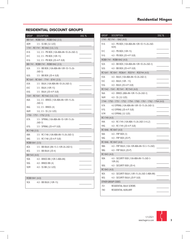#### **RESIDENTIAL DISCOUNT GROUPS**

| <b>GROUP</b>   | <b>DESCRIPTION</b>                                  | DISC <sub>%</sub> |
|----------------|-----------------------------------------------------|-------------------|
|                | BB1541 - RCBB1541 - RCBB1542 (3.5)                  |                   |
| 80M            | 3.5 - SS BB (32-32D)                                |                   |
|                | 1741 - RC1741 - RC1842 (3.0, 3.5)                   |                   |
| 81A            | 3.0, 3.5 - PB BOX (10A-ABA-AN-1D-26-26D-3)          |                   |
| 81C            | 3.0, 3.5 - PB BOX (10R-15)                          |                   |
| 81G            | 3.0, 3.5 - PB BOX (2D-4-P-3LB)                      |                   |
|                | BB1741 - RCBB1741 - RCBB1842 (3.5)                  |                   |
| 82A            | 3.5 - BB BOX (10A-ABA-AN-10R-1D-15-26-<br>$26D-3)$  |                   |
| 82G            | 3.5 - BB BOX (2D-4-3LB)                             |                   |
|                | RC1641 - RC1841 - 7741 - 8741 (3.5)                 |                   |
| 83A            | 3.5 - BULK (10A-ABA-AN-1D-26-26D-3)                 |                   |
| 83C            | 3.5 - BULK (10R-15)                                 |                   |
| 83G            | 3.5 - BULK (2D-4-P-3LB)                             |                   |
|                | 1541 - RC1541 - RC1542 (3.0, 3.5)                   |                   |
| 86A            | 3.0, 3.5 - BRASS (10A-ABA-AN-10R-15-26-<br>$26D-3)$ |                   |
| 86G            | $3.0, 3.5 - BRASS(4)$                               |                   |
| 86M            | $3.0, 3.5 - SS (32-32D)$                            |                   |
|                | 1750 - 1751 - 1752 (3.5)                            |                   |
| 87A            | 3.5 - SPRING (10A-ABA-AN-1D-10R-15-26-<br>$26D-3)$  |                   |
| 87G            | 3.5 - SPRING (2D-4-P-3LB)                           |                   |
| RC1748 (3.5)   |                                                     |                   |
| 88A            | 3.5 - RC1748 (10A-ABA-AN-15-26-26D-3)               |                   |
| 88G            | 3.5 - RC1748 (2D-4-P-3LB)                           |                   |
| RCBB1841 (3.5) |                                                     |                   |
| 8CA            | 3.5 - BB BULK (AN-15-3-10R-26-26D-5)                |                   |
| 8CG            | 3.5 - BB BULK (2D-4)                                |                   |
| BB1543 (4.0)   |                                                     |                   |
| 90A            | 4.0 - BRASS BB (10R-3-ABA-AN)                       |                   |
| 90G            | 4.0 - BRASS BB (4)                                  |                   |
| 90M            | 4.0 - SS BB (32-32D)                                |                   |

#### RCBB1841 (4.0)

9CA 4.0 - BB BULK (10R-15)

| <b>GROUP</b> | <b>DESCRIPTION</b>                                                 | DISC % |
|--------------|--------------------------------------------------------------------|--------|
|              | 1741 - RC1741 - 1842 (4.0)                                         |        |
| 91A          | 4.0 - PB BOX (10A-ABA-AN-10R-1D-15-26-26D-<br>H2H)                 |        |
| 91C          | 4.0 - PB BOX (10R-15)                                              |        |
| 91G          | 4.0 - PB BOX (2D-4-P-3LB)                                          |        |
|              | RCBB1741 - RCBB1842 (4.0)                                          |        |
| 92A          | 4.0 - BB BOX (10A-ABA-AN-10R-1D-26-26D-3)                          |        |
| 92G          | 4.0 - BB BOX (2D-4-P-3LB)                                          |        |
|              | RC1641 - RC1841 - RC8641 - RC8741 - RC8744 (4.0)                   |        |
| 93A          | 4.0 - BULK (10A-ABA-AN-1D-26-26D-3)                                |        |
| 93C          | 4.0 - BULK (10R - 15)                                              |        |
| 93G          | 4.0 - BULK (2D-4-P-3LB)                                            |        |
|              | RC1542 - 1541 - RC1541 - RC1543 (4.0)                              |        |
| 96A          | 4.0 - BRASS (ABA-AN-10R-15-26-26D-3)                               |        |
| 96M          | $4.0 - SS (32-32D)$                                                |        |
|              | 1744 - 1750 - 1751 - 1752 - 1754 - 1760 - 1761 - 1762 - 1764 (4.0) |        |
| 97A          | 4.0 SPRING (10A-ABA-AN-10R-1D-15-26-26D-3)                         |        |
| 97G          | 4.0 SPRING (2D-4-P-3LB)                                            |        |
| 97M          | 4.0 SPRING (32-32D)                                                |        |
| RC1749 (4.0) |                                                                    |        |
| 99A          | 4.0 - RC1749 (10A-ABA-15-26-26D-3-4-L2)                            |        |
| 99G          | 4.0 - RC1749 (2D-4-P-3LB)                                          |        |
|              | RC1846 - RC1847 (4.0)                                              |        |
| 9AA          | 4.0 - FRP BOX (3)                                                  |        |
| 9AG          | 4.0 - FRP BOX (2D-P)                                               |        |
|              | RC1846 - RC1847 (4.0)                                              |        |
| 9BA          | 4.0 - FRP BULK (10A-10R-ABA-AN-1D-3-15-26D)                        |        |
| 9BG          | 4.0 - FRP BULK (2D-P)                                              |        |
| RC1843 (4.0) |                                                                    |        |
| 9DA          | 4.0 - SECURITY BOX (10A-ABA-AN-15-26D-3-<br>10R-26)                |        |
| 9DG          | 4.0 - SECURITY BOX (2D-4)                                          |        |
| RC1843 (4.0) |                                                                    |        |
| 9EA          | 4.0 - SECURITY BULK (10R-15-26-26D-3-ABA-AN)                       |        |
| 9EG          | 4.0 - SECURITY BULK (2D-P-3LB)                                     |        |
|              | OTHER GROUP CODES                                                  |        |
| 701          | RESIDENTIAL BULK SCREWS                                            |        |
| 780          | RESIDENTIAL AUXILIARY                                              |        |

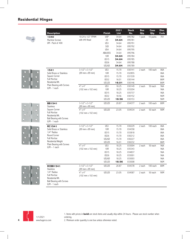| <b>Description</b>                                                        |                                      | <b>Finish</b>         | 2021<br>List   | <b>Stock</b><br>No. | <b>Box</b><br>Qty. | Case<br>Qty. | Disc.<br>Code |
|---------------------------------------------------------------------------|--------------------------------------|-----------------------|----------------|---------------------|--------------------|--------------|---------------|
| 1340                                                                      | 10-24 x 1/2" FPHM                    | <b>USP</b>            | 34.64          | 095782              | 1 pack             | 10 packs     | 701           |
| Machine Screws                                                            | with #9 Head                         | 2D                    | 34.64          | 095781              |                    |              |               |
| UM - Pack of 400                                                          |                                      | US3                   | 34.64          | 095791              |                    |              |               |
|                                                                           |                                      | 3LB                   | 34.64          | 095792              |                    |              |               |
|                                                                           |                                      | US4                   | 34.64          | 095795              |                    |              |               |
|                                                                           |                                      | ABA/US5               | 34.64          | 095796              |                    |              |               |
|                                                                           |                                      | <b>10R</b>            | 34.64          | 095784              |                    |              |               |
|                                                                           |                                      | <b>US15</b>           | 34.64          | 095785              |                    |              |               |
|                                                                           |                                      | <b>US26</b>           | 34.64          | 095788              |                    |              |               |
|                                                                           |                                      | <b>US26D</b>          | 34.64          | 095789              |                    |              |               |
| 1541                                                                      | $3-1/2"$ x 3-1/2"                    | US3                   | 15.70          | 030141              | 2 each             | 100 each     | 86A           |
| Solid Brass or Stainless                                                  | (89 mm x 89 mm)                      | <b>10R</b>            | 15.70          | 032855              |                    |              | 86A           |
| Square Corner                                                             |                                      | <b>US15</b>           | 15.70          | 031539              |                    |              | 86A           |
| <b>Full Mortise</b>                                                       |                                      | <b>US32</b>           | 16.01          | 030144              |                    |              | 86M           |
| Residential Wt.                                                           |                                      | <b>US32D</b>          | 16.01          | 030146              |                    |              | 86M           |
| Plain Bearing with Screws<br>$U/M - 1$ each                               | $4"$ x $4"$                          | US3                   | 18.25          | 030149              | 2 each             | 50 each      | 96A           |
|                                                                           | (102 mm x 102 mm)                    | <b>10R</b>            | 18.25          | 033204              |                    |              | 96A           |
|                                                                           |                                      | <b>US15</b>           | 18.25          | 035737              |                    |              | 96A           |
|                                                                           |                                      | <b>US32</b>           | 18.56          | 030152              |                    |              | 96M           |
|                                                                           |                                      | US32D                 | 18.56          | 030153              |                    |              | 96M           |
| <b>BB1541</b>                                                             | $3-1/2"$ x 3-1/2"                    | US32D                 | 20.87          | 034377              | 2 each             | 100 each     | 80M           |
| <b>Stainless</b>                                                          | (89 mm x 89 mm)                      |                       |                |                     |                    |              |               |
| Square Corner                                                             | $4" \times 4"$                       | <b>US32D</b>          | 23.05          | 034534              | 2 each             | 50 each      | 90M           |
| <b>Full Mortise</b><br>Residential Wt.<br><b>Ball Bearing with Screws</b> | (102 mm x 102 mm)                    |                       |                |                     |                    |              |               |
| $U/M - 1$ each                                                            | $3-1/2"$ x $3-1/2"$                  | US3                   | 15.70          | 030229              | 2 each             | 100 each     | 86A           |
| <b>RC1541</b><br>Solid Brass or Stainless                                 | (89 mm x 89 mm)                      | <b>10R</b>            | 15.70          | 034358              |                    |              | 86A           |
| 1/4" Radius                                                               |                                      | <b>US15</b>           | 15.70          | 033818              |                    |              | 86A           |
| Round Corner                                                              |                                      | <b>US26</b>           | 15.70          | 030212              |                    |              | 86A           |
| <b>Full Mortise</b>                                                       |                                      | <b>US26D</b>          | 15.70          | 030227              |                    |              | 86A           |
| Residential Weight                                                        |                                      | US32D                 | 16.01          | 030232              |                    |              | 86M           |
| Plain Bearing with Screws                                                 | $4"$ x $4"$                          |                       |                |                     | 2 each             |              |               |
| $U/M - 1$ each                                                            | (102 mm x 102 mm)                    | US3<br><b>10R</b>     | 18.25          | 033004              |                    | 50 each      | 96A           |
|                                                                           |                                      | <b>US15</b>           | 18.25<br>18.25 | 035343<br>034837    |                    |              | 96A<br>96A    |
|                                                                           |                                      | <b>US26</b>           |                | 033001              |                    |              |               |
|                                                                           |                                      |                       | 18.25          |                     |                    |              | 96A           |
|                                                                           |                                      | <b>US26D</b><br>US32D | 18.25<br>18.56 | 033003<br>033008    |                    |              | 96A<br>96M    |
|                                                                           |                                      |                       |                |                     |                    |              |               |
| <b>RCBB1541</b><br><b>Stainless</b>                                       | $3-1/2"$ x 3-1/2"<br>(89 mm x 89 mm) | <b>US32D</b>          | 20.87          | 034378              | 2 each             | 100 each     | 80M           |
| 1/4" Radius                                                               | $4" \times 4"$                       | US32D                 | 23.05          | 034587              | 2 each             | 50 each      | 90M           |
| <b>Full Mortise</b><br>Residential Wt.<br><b>Ball Bearing with Screws</b> | (102 mm x 102 mm)                    |                       |                |                     |                    |              |               |



1/1/2021 www.hagerco.com

1. Items with prices in **bold** are stock items and usually ship within 24 hours. Please use stock number when ordering.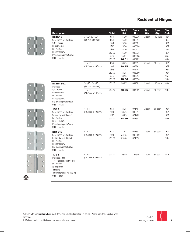









| <b>Description</b>                           |                                              | <b>Finish</b>   | 2021<br><b>List</b> | <b>Stock</b><br>No. | <b>Box</b><br>Qty. | Case<br>Qty. | Disc.<br>Code |
|----------------------------------------------|----------------------------------------------|-----------------|---------------------|---------------------|--------------------|--------------|---------------|
| <b>RC1542</b>                                | $3-1/2"$ x 3-1/2"                            | US <sub>3</sub> | 15.70               | 030276              | 2 each             | 100 each     | 86A           |
| Solid Brass or Stainless                     | (89 mm x 89 mm)                              | US4             | 15.70               | 030291              |                    |              | 86G           |
| 5/8" Radius                                  |                                              | 10 <sub>R</sub> | 15.70               | 036081              |                    |              | 86A           |
| Round Corner                                 |                                              | <b>US15</b>     | 15.70               | 035594              |                    |              | 86A           |
| <b>Full Mortise</b>                          |                                              | <b>US26</b>     | 15.70               | 030273              |                    |              | 86A           |
| Residential Wt.                              |                                              | <b>US26D</b>    | 15.70               | 030275              |                    |              | 86A           |
| Plain Bearing with Screws                    |                                              | <b>US32</b>     | 16.01               | 030288              |                    |              | 86M           |
| $U/M - 1$ each                               |                                              | <b>US32D</b>    | 16.01               | 030289              |                    |              | 86M           |
|                                              | $4"$ x $4"$                                  | US <sub>3</sub> | 18.25               | 033051              | 2 each             | 50 each      | 96A           |
|                                              | $(102 \, \text{mm} \times 102 \, \text{mm})$ | 10R             | 18.25               | 036761              |                    |              | 96A           |
|                                              |                                              | <b>US15</b>     | 18.25               | 035743              |                    |              | 96A           |
|                                              |                                              | <b>US26D</b>    | 18.25               | 033050              |                    |              | 96A           |
|                                              |                                              | <b>US32</b>     | 18.56               | 033053              |                    |              | 96M           |
|                                              |                                              | US32D           | 18.56               | 033056              |                    |              | 96M           |
| <b>RCBB1542</b><br><b>Stainless</b>          | $3-1/2"$ x 3-1/2"<br>(89 mm x 89 mm)         | <b>US32D</b>    | 20.87               | 034381              | 2 each             | 100 each     | 80M           |
| 5/8" Radius                                  | $4" \times 4"$                               | <b>US32D</b>    | 23.05               | 034589              | 2 each             | 50 each      | 90M           |
| Round Corner                                 | $(102 \, \text{mm} \times 102 \, \text{mm})$ |                 |                     |                     |                    |              |               |
| <b>Full Mortise</b>                          |                                              |                 |                     |                     |                    |              |               |
| Residential Wt.                              |                                              |                 |                     |                     |                    |              |               |
| <b>Ball Bearing with Screws</b>              |                                              |                 |                     |                     |                    |              |               |
| $U/M - 1$ each                               |                                              |                 |                     |                     |                    |              |               |
| 1543                                         | $4" \times 4"$                               | US3             | 18.25               | 071461              | 2 each             | 50 each      | 96A           |
| Solid Brass or Stainless                     | (102 mm x 102 mm)                            | <b>10R</b>      | 18.25               | 036911              |                    |              | 96A           |
| Square by 5/8" Radius                        |                                              | <b>US15</b>     | 18.25               | 071462              |                    |              | 96A           |
| <b>Full Mortise</b>                          |                                              | <b>US32D</b>    | 18.56               | 071531              |                    |              | 96M           |
| Residential Wt.                              |                                              |                 |                     |                     |                    |              |               |
| Plain Bearing with Screws                    |                                              |                 |                     |                     |                    |              |               |
| $U/M - 1$ each                               |                                              |                 |                     |                     |                    |              |               |
| <b>BB1543</b>                                | $4" \times 4"$                               | US3             | 23.48               | 071637              | 2 each             | 50 each      | 90A           |
| Solid Brass or Stainless                     | (102 mm x 102 mm)                            | <b>10R</b>      | 23.48               | 036980              |                    |              | 90A           |
| Square by 5/8" Radius<br><b>Full Mortise</b> |                                              | US32D           | 23.48               | 071552              |                    |              | 90M           |
| Residential Wt.                              |                                              |                 |                     |                     |                    |              |               |
| <b>Ball Bearing with Screws</b>              |                                              |                 |                     |                     |                    |              |               |
| $U/M - 1$ each                               |                                              |                 |                     |                     |                    |              |               |
| 1734                                         | $4" \times 4"$                               | <b>US32D</b>    | 46.60               | 169906              | 2 each             | 80 each      | 97M           |
| <b>Stainless Steel</b>                       | $(102 \, \text{mm} \times 102 \, \text{mm})$ |                 |                     |                     |                    |              |               |
| 1/4" Radius Round Corner                     |                                              |                 |                     |                     |                    |              |               |
| <b>Full Mortise</b>                          |                                              |                 |                     |                     |                    |              |               |
| Spring Hinge                                 |                                              |                 |                     |                     |                    |              |               |
| Template                                     |                                              |                 |                     |                     |                    |              |               |
| Timely Frame All MS 1/2 WS                   |                                              |                 |                     |                     |                    |              |               |
| $U/M - 1$ each                               |                                              |                 |                     |                     |                    |              |               |

1. Items with prices in **bold** are stock items and usually ship within 24 hours. Please use stock number when ordering.



**5**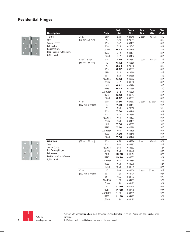

| <b>Description</b>                                                                                                                                                                                                                   |                                              | <b>Finish</b> | 2021<br><b>List</b> | <b>Stock</b><br>No. | <b>Box</b><br>Qty. | Case<br>Qty. | Disc.<br>Code |
|--------------------------------------------------------------------------------------------------------------------------------------------------------------------------------------------------------------------------------------|----------------------------------------------|---------------|---------------------|---------------------|--------------------|--------------|---------------|
| 1741                                                                                                                                                                                                                                 | $3" \times 3"$                               | <b>USP</b>    | 2.24                | 029648              | 2 each             | 100 each     | 81G           |
| Steel                                                                                                                                                                                                                                | (76 mm x 76 mm)                              | 2D            | 2.24                | 029641              |                    |              | 81G           |
| Square Corner                                                                                                                                                                                                                        |                                              | US3           | 6.42                | 033133              |                    |              | 81A           |
|                                                                                                                                                                                                                                      |                                              | US4           | 2.24                | 029645              |                    |              | 81A           |
|                                                                                                                                                                                                                                      |                                              | US10A         | 6.42                | 033129              |                    |              | 81A           |
|                                                                                                                                                                                                                                      |                                              | <b>US26</b>   | 6.42                | 033131              |                    |              | 81A           |
| <b>Full Mortise</b><br>Residential Wt.<br>Plain Bearing - with Screws<br>U/M - 1 each<br><b>BB1741</b><br>Steel<br>Square Corner<br><b>Ball Bearing Hinges</b><br><b>Full Mortise</b><br>Residential Wt. with Screws<br>U/M - 1 each |                                              | US26D         | 6.42                | 033132              |                    |              | 81A           |
|                                                                                                                                                                                                                                      | $3-1/2"$ x 3-1/2"                            | <b>USP</b>    | 2.24                | 029661              | 2 each             | 100 each     | 81G           |
|                                                                                                                                                                                                                                      | (89 mm x 89 mm)                              | 1D            | 6.42                | 030556              |                    |              | 81A           |
|                                                                                                                                                                                                                                      |                                              | 2D            | 2.24                | 029658              |                    |              | 81G           |
|                                                                                                                                                                                                                                      |                                              | US3           | 6.42                | 030533              |                    |              | 81A           |
|                                                                                                                                                                                                                                      |                                              | 3LB           | 2.24                | 029660              |                    |              | 81G           |
|                                                                                                                                                                                                                                      |                                              | US4           | 2.24                | 029659              |                    |              | 81G           |
|                                                                                                                                                                                                                                      |                                              | ABA/US5       | 6.42                | 030552              |                    |              | 81A           |
|                                                                                                                                                                                                                                      |                                              | US10A         | 6.42                | 030548              |                    |              | 81A           |
|                                                                                                                                                                                                                                      |                                              | <b>10R</b>    | 6.42                | 037124              |                    |              | 81C           |
|                                                                                                                                                                                                                                      |                                              | <b>US15</b>   | 6.42                | 030555              |                    |              | 81C           |
|                                                                                                                                                                                                                                      |                                              | AN/US15A      | 6.42                | 030620              |                    |              | 81A           |
|                                                                                                                                                                                                                                      |                                              | <b>US26</b>   | 6.42                | 030547              |                    |              | 81A           |
|                                                                                                                                                                                                                                      |                                              | US26D         | 6.42                | 030551              |                    |              | 81A           |
|                                                                                                                                                                                                                                      | $4" \times 4"$                               | <b>USP</b>    | 3.30                | 029667              | 2 each             | 50 each      | 91G           |
|                                                                                                                                                                                                                                      | (102 mm x 102 mm)                            | 1D            | 7.60                | 033144              |                    |              | 91A           |
|                                                                                                                                                                                                                                      |                                              | 2D            | 3.30                | 029662              |                    |              | 91G           |
|                                                                                                                                                                                                                                      |                                              | US3           | 7.60                | 033148              |                    |              | 91A           |
|                                                                                                                                                                                                                                      |                                              | US4           | 3.30                | 029664              |                    |              | 91G           |
|                                                                                                                                                                                                                                      |                                              | ABA/US5       | 7.60                | 033197              |                    |              | 91A           |
|                                                                                                                                                                                                                                      |                                              | US10A         | 7.60                | 033141              |                    |              | 91A           |
|                                                                                                                                                                                                                                      |                                              | <b>10R</b>    | 7.60                | 038067              |                    |              | 91C           |
|                                                                                                                                                                                                                                      |                                              | <b>US15</b>   | 7.60                | 032829              |                    |              | 91C           |
|                                                                                                                                                                                                                                      |                                              | AN/US15A      | 7.60                | 033199              |                    |              | 91A           |
|                                                                                                                                                                                                                                      |                                              | US26          | 7.60                | 033145              |                    |              | 91A           |
|                                                                                                                                                                                                                                      |                                              | US26D         | 7.60                | 033146              |                    |              | 91A           |
|                                                                                                                                                                                                                                      | (89 mm x 89 mm)                              | US3           | 10.78               | 034274              | 2 each             | 100 each     | 82A           |
|                                                                                                                                                                                                                                      |                                              | US4           | 6.60                | 034337              |                    |              | 82G           |
|                                                                                                                                                                                                                                      |                                              | ABA/US5       | 6.60                | 034332              |                    |              | 82A           |
|                                                                                                                                                                                                                                      |                                              | US10A         | 10.78               | 034330              |                    |              | 82A           |
|                                                                                                                                                                                                                                      |                                              | 10R           | 10.78               | 040217              |                    |              | 82A           |
|                                                                                                                                                                                                                                      |                                              | <b>US15</b>   | 10.78               | 034333              |                    |              | 82A           |
|                                                                                                                                                                                                                                      |                                              | AN/US15A      | 10.78               | 034334              |                    |              | 82A           |
|                                                                                                                                                                                                                                      |                                              | <b>US26</b>   | 10.78               | 034275              |                    |              | 82A           |
|                                                                                                                                                                                                                                      |                                              | <b>US26D</b>  | 10.78               | 034329              |                    |              | 82A           |
|                                                                                                                                                                                                                                      | $4"$ x $4"$                                  | 2D            | 7.66                | 034500              | 2 each             | 50 each      | 92G           |
|                                                                                                                                                                                                                                      | $(102 \, \text{mm} \times 102 \, \text{mm})$ | US3           | 11.90               | 034474              |                    |              | 92A           |
|                                                                                                                                                                                                                                      |                                              | US4           | 7.66                | 034502              |                    |              | 92G           |
|                                                                                                                                                                                                                                      |                                              | ABA/US5       | 11.90               | 034497              |                    |              | 92A           |
|                                                                                                                                                                                                                                      |                                              | US10A         | 11.90               | 034483              |                    |              | 92A           |
|                                                                                                                                                                                                                                      |                                              | 10R           | 11.90               | 040724              |                    |              | 92A           |
|                                                                                                                                                                                                                                      |                                              | <b>US15</b>   | 11.90               | 034498              |                    |              | 92A           |
|                                                                                                                                                                                                                                      |                                              | AN/US15A      | 11.90               | 034499              |                    |              | 92A           |
|                                                                                                                                                                                                                                      |                                              | <b>US26</b>   | 11.90               | 034477              |                    |              | 92A           |
|                                                                                                                                                                                                                                      |                                              | US26D         | 11.90               | 034482              |                    |              | 92A           |





1. Items with prices in **bold** are stock items and usually ship within 24 hours. Please use stock number when ordering.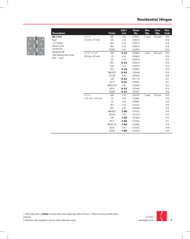

|                                                                                                                                                                    |                                              | <b>Finish</b>   | 2021<br><b>List</b> | <b>Stock</b><br>No. | <b>Box</b><br>Qty. | Case<br>Qty. | Disc.<br>Code |
|--------------------------------------------------------------------------------------------------------------------------------------------------------------------|----------------------------------------------|-----------------|---------------------|---------------------|--------------------|--------------|---------------|
|                                                                                                                                                                    | $3"$ x $3"$                                  | <b>USP</b>      | 2.24                | 029677              | 2 each             | 100 each     | 81G           |
|                                                                                                                                                                    | (76 mm x 76 mm)                              | 2D              | 2.24                | 029673              |                    |              | 81G           |
|                                                                                                                                                                    |                                              | US3             | 6.42                | 033512              |                    |              | 81A           |
|                                                                                                                                                                    |                                              | US4             | 2.24                | 029675              |                    |              | 81G           |
|                                                                                                                                                                    |                                              | US26D           | 6.42                | 032859              |                    |              | 81A           |
|                                                                                                                                                                    | $3-1/2"$ x 3-1/2"                            | <b>USP</b>      | 2.24                | 029683              | 2 each             | 100 each     | 81G           |
|                                                                                                                                                                    | (89 mm x 89 mm)                              | 1D              | 6.42                | 030680              |                    |              | 81A           |
|                                                                                                                                                                    |                                              | 2D              | 2.24                | 029678              |                    |              | 81G           |
|                                                                                                                                                                    |                                              | US <sub>3</sub> | 6.42                | 030644              |                    |              | 81A           |
|                                                                                                                                                                    |                                              | 3LB             | 2.24                | 029475              |                    |              | 81G           |
|                                                                                                                                                                    |                                              | US4             | 2.24                | 029681              |                    |              | 81G           |
|                                                                                                                                                                    |                                              | ABA/US5         | 6.42                | 030648              |                    |              | 81A           |
|                                                                                                                                                                    |                                              | US10A           | 6.42                | 030645              |                    |              | 81A           |
|                                                                                                                                                                    |                                              | 10R             | 6.42                | 041116              |                    |              | 81C           |
|                                                                                                                                                                    |                                              | <b>US15</b>     | 6.42                | 030652              |                    |              | 81C           |
|                                                                                                                                                                    |                                              | AN/US15A        | 6.42                | 030689              |                    |              | 81A           |
| <b>Description</b><br><b>RC1741</b><br>Steel<br>1/4" Radius<br>Round Corner<br><b>Full Mortise</b><br>Residential Wt.<br>Plain Bearing with screws<br>U/M - 1 each |                                              | <b>US26</b>     | 6.42                | 030646              |                    |              | 81A           |
|                                                                                                                                                                    |                                              | US26D           | 6.42                | 030647              |                    |              | 81A           |
|                                                                                                                                                                    | $4" \times 4"$                               | <b>USP</b>      | 3.30                | 029707              | 2 each             | 50 each      | 91G           |
|                                                                                                                                                                    | $(102 \, \text{mm} \times 102 \, \text{mm})$ | 1D              | 7.60                | 032881              |                    |              | 91A           |
|                                                                                                                                                                    |                                              | 2D              | 3.30                | 029695              |                    |              | 91G           |
|                                                                                                                                                                    |                                              | US3             | 7.60                | 033267              |                    |              | 91A           |
|                                                                                                                                                                    |                                              | US4             | 3.30                | 029698              |                    |              | 91G           |
|                                                                                                                                                                    |                                              | ABA/US5         | 7.60                | 033523              |                    |              | 91A           |
|                                                                                                                                                                    |                                              | US10A           | 7.60                | 033514              |                    |              | 91A           |
|                                                                                                                                                                    |                                              | <b>10R</b>      | 7.60                | 041269              |                    |              | 91C           |
|                                                                                                                                                                    |                                              | <b>US15</b>     | 7.60                | 032876              |                    |              | 91C           |
|                                                                                                                                                                    |                                              | AN/US15A        | 7.60                | 032882              |                    |              | 91A           |
|                                                                                                                                                                    |                                              | <b>US26</b>     | 7.60                | 033262              |                    |              | 91A           |
|                                                                                                                                                                    |                                              | US26D           | 7.60                | 033265              |                    |              | 91A           |

 $\overline{\phantom{0}}$ 



**7**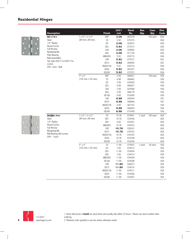

| <b>Description</b>                                                                                                                                                                  |                                              | <b>Finish</b> | 2021<br><b>List</b> | <b>Stock</b><br>No. | Box<br>Qty. | Case<br>Qty. | Disc.<br>Code |
|-------------------------------------------------------------------------------------------------------------------------------------------------------------------------------------|----------------------------------------------|---------------|---------------------|---------------------|-------------|--------------|---------------|
| RC1741                                                                                                                                                                              | $3-1/2"$ x 3-1/2"                            | <b>USP</b>    | 2.06                | 067018              |             | 100 each     | 83G           |
| Steel                                                                                                                                                                               | (89 mm x 89 mm)                              | 1D            | 5.92                | 073575              |             |              | 83A           |
| 1/4" Radius                                                                                                                                                                         |                                              | 2D            | 2.06                | 029472              |             |              | 83G           |
| Round Corner                                                                                                                                                                        |                                              | US3           | 5.92                | 073573              |             |              | 83A           |
|                                                                                                                                                                                     |                                              | 3LB           | 2.06                | 029682              |             |              | 83G           |
|                                                                                                                                                                                     |                                              | US4           | 2.06                | 071720              |             |              | 83G           |
|                                                                                                                                                                                     |                                              | ABA/US5       | 5.92                | 030715              |             |              | 83A           |
|                                                                                                                                                                                     |                                              | 10R           | 5.92                | 073577              |             |              | 83C           |
|                                                                                                                                                                                     |                                              | <b>US15</b>   | 5.92                | 069005              |             |              | 83C           |
|                                                                                                                                                                                     |                                              | AN/US15A      | 5.92                | 030716              |             |              | 83A           |
|                                                                                                                                                                                     |                                              | <b>US26</b>   | 5.92                | 067027              |             |              | 83A           |
|                                                                                                                                                                                     |                                              | US26D         | 5.92                | 073572              |             |              | 83A           |
|                                                                                                                                                                                     | $4" \times 4"$                               | <b>USP</b>    | 2.99                | 060651              |             | 100 each     | 93G           |
|                                                                                                                                                                                     | $(102 \, \text{mm} \times 102 \, \text{mm})$ | 1D            | 6.98                | 060662              |             |              | 93A           |
|                                                                                                                                                                                     |                                              | 2D            | 2.99                | 029565              |             |              | 93G           |
|                                                                                                                                                                                     |                                              | US3           | 6.98                | 060657              |             |              | 93A           |
|                                                                                                                                                                                     |                                              | 3LB           | 2.99                | 029568              |             |              | 93G           |
|                                                                                                                                                                                     |                                              | US4           | 2.99                | 068179              |             |              | 93G           |
|                                                                                                                                                                                     |                                              | <b>US10A</b>  | 6.98                | 033600              |             |              | 93A           |
|                                                                                                                                                                                     |                                              | 10R           | 6.98                | 040444              |             |              | 93C           |
|                                                                                                                                                                                     |                                              | <b>US15</b>   | 6.98                | 068996              |             |              | 93C           |
|                                                                                                                                                                                     |                                              | AN/US15A      | 6.98                | 081352              |             |              | 93A           |
|                                                                                                                                                                                     |                                              | <b>US26</b>   | 6.98                | 060654              |             |              | 93A           |
|                                                                                                                                                                                     |                                              | <b>US26D</b>  | 6.98                | 073499              |             |              | 93A           |
| <b>RCBB1741</b>                                                                                                                                                                     | $3-1/2"$ x 3-1/2"                            | 1D            | 10.78               | 079451              | 2 each      | 100 each     | 82A           |
| Steel                                                                                                                                                                               | (89 mm x 89 mm)                              | US3           | 10.78               | 034346              |             |              | 82A           |
| 1/4" Radius                                                                                                                                                                         |                                              | US4           | 6.60                | 034361              |             |              | 82G           |
| Round Corner                                                                                                                                                                        |                                              | ABA/US5       | 10.78               | 034352              |             |              | 82A           |
| Full Mortise                                                                                                                                                                        |                                              | <b>10R</b>    | 10.78               | 038241              |             |              | 82A           |
| Residential Wt.                                                                                                                                                                     |                                              | <b>US15</b>   | 10.78               | 034353              |             |              | 82A           |
|                                                                                                                                                                                     |                                              | AN/US15A      | 10.78               | 034355              |             |              | 82A           |
| Full Mortise<br>Residential Wt.<br>Plain Bearing<br><b>Bulk Assembled</b><br>See style #2617 & #2817 for<br>screws<br>U/M - Each - Bulk<br>Ball Bearing with screws<br>U/M - 1 each |                                              | <b>US26</b>   | 10.78               | 034348              |             |              | 82A           |
|                                                                                                                                                                                     |                                              | US26D         | 10.78               | 034349              |             |              | 82A           |
|                                                                                                                                                                                     | $4" \times 4"$                               | 1D            | 11.90               | 079453              | 2 each      | 50 each      | 92G           |
|                                                                                                                                                                                     | (102 mm x 102 mm)                            | 2D            | 7.66                | 034512              |             |              | 92G           |
|                                                                                                                                                                                     |                                              | US3           | 11.90               | 034504              |             |              | 92A           |
|                                                                                                                                                                                     |                                              | US4           | 7.66                | 034514              |             |              | 92G           |
|                                                                                                                                                                                     |                                              | ABA/US5       | 11.90               | 034509              |             |              | 92A           |
|                                                                                                                                                                                     |                                              | US10A         | 11.90               | 034508              |             |              | 92A           |
|                                                                                                                                                                                     |                                              | 10R           | 11.90               | 040073              |             |              | 92A           |
|                                                                                                                                                                                     |                                              | <b>US15</b>   | 11.90               | 034510              |             |              | 92A           |
|                                                                                                                                                                                     |                                              | AN/US15A      | 11.90               | 034511              |             |              | 92A           |
|                                                                                                                                                                                     |                                              | <b>US26</b>   | 11.90               | 034506              |             |              | 92A           |
|                                                                                                                                                                                     |                                              | US26D         | 11.90               | 034507              |             |              | 92A           |
|                                                                                                                                                                                     |                                              |               |                     |                     |             |              |               |





1. Items with prices in **bold** are stock items and usually ship within 24 hours. Please use stock number when ordering.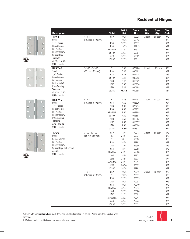







| $4" \times 4"$<br><b>USP</b><br>169928<br>97G<br>19.75<br>2 each<br>80 each<br>1744<br>(102 mm x 102 mm)<br>2D<br>97G<br>19.75<br>169912<br>Steel<br>1/4" Radius<br>US3<br>32.33<br>169913<br>97A<br>Round Corner<br>US4<br>19.75<br>97A<br>169915<br><b>Full Mortise</b><br>97A<br>ABA/US5<br>32.33<br>169917<br>Residential Wt.<br>US10A<br>32.33<br>97A<br>169907<br>Spring Hinge<br>97A<br><b>US26</b><br>32.33<br>169909<br>Template<br><b>US26D</b><br>32.33<br>97A<br>169911<br>All MS - 1/2 WS<br>$U/M - 1$ each<br>$3-1/2"$ x 3-1/2"<br>2D<br>2.37<br>029724<br>88G<br>2 each<br>100 each<br><b>RC1748</b><br>(89 mm x 89 mm)<br>US3<br>6.42<br>030693<br>88A<br>Steel<br>1/4" Radius<br>US4<br>2.37<br>029725<br>88G<br>Round Corner<br><b>US10A</b><br>6.42<br>88A<br>030698<br><b>Full Mortise</b><br><b>10R</b><br>88A<br>6.42<br>016929<br>Residential Wt.<br><b>US15</b><br>6.42<br>88A<br>016936<br>Plain Bearing<br><b>US26</b><br>88A<br>6.42<br>030699<br>Template<br><b>US26D</b><br>6.42<br>88A<br>030695<br>All MS - 1/2 WS<br>$U/M - 1$ each<br>$4" \times 4"$<br>2D<br>4.86<br>029731<br>48 each<br>99G<br>3 each<br><b>RC1749</b><br>(102 mm x 102 mm)<br>US3<br>7.60<br>99A<br><b>Steel</b><br>033529<br>1/4" Radius<br>3LB<br>4.86<br>029734<br>99G<br>Round Corner<br>US4<br>4.86<br>029732<br>99G<br><b>Full Mortise</b><br>ABA/US5<br>7.60<br>032889<br>99A<br>Residential Wt.<br>99A<br>US10A<br>7.60<br>032887<br>Plain Bearing<br>10R<br>7.60<br>99A<br>016902<br>Template<br><b>US15</b><br>99A<br>7.60<br>016897<br>AMS - 1/2 WS<br><b>US26</b><br>7.60<br>033524<br>99A<br>$U/M - 1$ each<br>99A<br><b>US26D</b><br>7.60<br>033528<br>$3-1/2"$ x 3-1/2"<br><b>USP</b><br>87G<br>18.44<br>170018<br>2 each<br>80 each<br>1750<br>1D<br>87G<br>Steel<br>(89 mm x 89 mm)<br>24.54<br>169977<br>Square Corner<br>2D<br>87G<br>18.44<br>169982<br><b>Full Mortise</b><br>US3<br>24.54<br>87A<br>169983<br>Residential Wt.<br>3LB<br>18.44<br>169986<br>87G<br>Spring Hinge with Screws<br>US4<br>87G<br>18.44<br>169985<br>ALL WS<br>87A<br>ABA/US5<br>24.54<br>169988<br>$U/M - 1$ each<br>87A<br>10 <sub>R</sub><br>169973<br>24.54<br><b>US15</b><br>87A<br>24.54<br>169974<br>AN/US15A<br>24.54<br>170017<br>87A<br><b>US26</b><br>24.54<br>87A<br>169979<br>US26D<br>87A<br>24.54<br>169981<br>$4"$ x $4"$<br><b>USP</b><br>19.75<br>2 each<br>80 each<br>97G<br>170046<br>$(102 \, \text{mm} \times 102 \, \text{mm})$<br>2D<br>19.75<br>170033<br>97G<br>US3<br>32.33<br>170035<br>97A<br>3LB<br>97G<br>19.75<br>170037<br>US4<br>19.75<br>170040<br>97G<br>ABA/US5<br>32.33<br>170043<br>97A<br>10R<br>97A<br>32.33<br>170020<br><b>US15</b><br>97A<br>32.33<br>170021<br>AN/US15A<br>97A<br>32.33<br>170044<br><b>US26</b><br>32.33<br>97A<br>170023<br>US26D<br>97A<br>32.33<br>170031 | <b>Description</b> | <b>Finish</b> | 2021<br><b>List</b> | <b>Stock</b><br>No. | Box<br>Qty. | Case<br>Qty. | Disc.<br>Code |
|---------------------------------------------------------------------------------------------------------------------------------------------------------------------------------------------------------------------------------------------------------------------------------------------------------------------------------------------------------------------------------------------------------------------------------------------------------------------------------------------------------------------------------------------------------------------------------------------------------------------------------------------------------------------------------------------------------------------------------------------------------------------------------------------------------------------------------------------------------------------------------------------------------------------------------------------------------------------------------------------------------------------------------------------------------------------------------------------------------------------------------------------------------------------------------------------------------------------------------------------------------------------------------------------------------------------------------------------------------------------------------------------------------------------------------------------------------------------------------------------------------------------------------------------------------------------------------------------------------------------------------------------------------------------------------------------------------------------------------------------------------------------------------------------------------------------------------------------------------------------------------------------------------------------------------------------------------------------------------------------------------------------------------------------------------------------------------------------------------------------------------------------------------------------------------------------------------------------------------------------------------------------------------------------------------------------------------------------------------------------------------------------------------------------------------------------------------------------------------------------------------------------------------------------------------------------------------------------------------------------------------------------------------------------------------------------------------------------------------------------------------------------------------------------------------------------------------|--------------------|---------------|---------------------|---------------------|-------------|--------------|---------------|
|                                                                                                                                                                                                                                                                                                                                                                                                                                                                                                                                                                                                                                                                                                                                                                                                                                                                                                                                                                                                                                                                                                                                                                                                                                                                                                                                                                                                                                                                                                                                                                                                                                                                                                                                                                                                                                                                                                                                                                                                                                                                                                                                                                                                                                                                                                                                                                                                                                                                                                                                                                                                                                                                                                                                                                                                                                 |                    |               |                     |                     |             |              |               |
|                                                                                                                                                                                                                                                                                                                                                                                                                                                                                                                                                                                                                                                                                                                                                                                                                                                                                                                                                                                                                                                                                                                                                                                                                                                                                                                                                                                                                                                                                                                                                                                                                                                                                                                                                                                                                                                                                                                                                                                                                                                                                                                                                                                                                                                                                                                                                                                                                                                                                                                                                                                                                                                                                                                                                                                                                                 |                    |               |                     |                     |             |              |               |
|                                                                                                                                                                                                                                                                                                                                                                                                                                                                                                                                                                                                                                                                                                                                                                                                                                                                                                                                                                                                                                                                                                                                                                                                                                                                                                                                                                                                                                                                                                                                                                                                                                                                                                                                                                                                                                                                                                                                                                                                                                                                                                                                                                                                                                                                                                                                                                                                                                                                                                                                                                                                                                                                                                                                                                                                                                 |                    |               |                     |                     |             |              |               |
|                                                                                                                                                                                                                                                                                                                                                                                                                                                                                                                                                                                                                                                                                                                                                                                                                                                                                                                                                                                                                                                                                                                                                                                                                                                                                                                                                                                                                                                                                                                                                                                                                                                                                                                                                                                                                                                                                                                                                                                                                                                                                                                                                                                                                                                                                                                                                                                                                                                                                                                                                                                                                                                                                                                                                                                                                                 |                    |               |                     |                     |             |              |               |
|                                                                                                                                                                                                                                                                                                                                                                                                                                                                                                                                                                                                                                                                                                                                                                                                                                                                                                                                                                                                                                                                                                                                                                                                                                                                                                                                                                                                                                                                                                                                                                                                                                                                                                                                                                                                                                                                                                                                                                                                                                                                                                                                                                                                                                                                                                                                                                                                                                                                                                                                                                                                                                                                                                                                                                                                                                 |                    |               |                     |                     |             |              |               |
|                                                                                                                                                                                                                                                                                                                                                                                                                                                                                                                                                                                                                                                                                                                                                                                                                                                                                                                                                                                                                                                                                                                                                                                                                                                                                                                                                                                                                                                                                                                                                                                                                                                                                                                                                                                                                                                                                                                                                                                                                                                                                                                                                                                                                                                                                                                                                                                                                                                                                                                                                                                                                                                                                                                                                                                                                                 |                    |               |                     |                     |             |              |               |
|                                                                                                                                                                                                                                                                                                                                                                                                                                                                                                                                                                                                                                                                                                                                                                                                                                                                                                                                                                                                                                                                                                                                                                                                                                                                                                                                                                                                                                                                                                                                                                                                                                                                                                                                                                                                                                                                                                                                                                                                                                                                                                                                                                                                                                                                                                                                                                                                                                                                                                                                                                                                                                                                                                                                                                                                                                 |                    |               |                     |                     |             |              |               |
|                                                                                                                                                                                                                                                                                                                                                                                                                                                                                                                                                                                                                                                                                                                                                                                                                                                                                                                                                                                                                                                                                                                                                                                                                                                                                                                                                                                                                                                                                                                                                                                                                                                                                                                                                                                                                                                                                                                                                                                                                                                                                                                                                                                                                                                                                                                                                                                                                                                                                                                                                                                                                                                                                                                                                                                                                                 |                    |               |                     |                     |             |              |               |
|                                                                                                                                                                                                                                                                                                                                                                                                                                                                                                                                                                                                                                                                                                                                                                                                                                                                                                                                                                                                                                                                                                                                                                                                                                                                                                                                                                                                                                                                                                                                                                                                                                                                                                                                                                                                                                                                                                                                                                                                                                                                                                                                                                                                                                                                                                                                                                                                                                                                                                                                                                                                                                                                                                                                                                                                                                 |                    |               |                     |                     |             |              |               |
|                                                                                                                                                                                                                                                                                                                                                                                                                                                                                                                                                                                                                                                                                                                                                                                                                                                                                                                                                                                                                                                                                                                                                                                                                                                                                                                                                                                                                                                                                                                                                                                                                                                                                                                                                                                                                                                                                                                                                                                                                                                                                                                                                                                                                                                                                                                                                                                                                                                                                                                                                                                                                                                                                                                                                                                                                                 |                    |               |                     |                     |             |              |               |
|                                                                                                                                                                                                                                                                                                                                                                                                                                                                                                                                                                                                                                                                                                                                                                                                                                                                                                                                                                                                                                                                                                                                                                                                                                                                                                                                                                                                                                                                                                                                                                                                                                                                                                                                                                                                                                                                                                                                                                                                                                                                                                                                                                                                                                                                                                                                                                                                                                                                                                                                                                                                                                                                                                                                                                                                                                 |                    |               |                     |                     |             |              |               |
|                                                                                                                                                                                                                                                                                                                                                                                                                                                                                                                                                                                                                                                                                                                                                                                                                                                                                                                                                                                                                                                                                                                                                                                                                                                                                                                                                                                                                                                                                                                                                                                                                                                                                                                                                                                                                                                                                                                                                                                                                                                                                                                                                                                                                                                                                                                                                                                                                                                                                                                                                                                                                                                                                                                                                                                                                                 |                    |               |                     |                     |             |              |               |
|                                                                                                                                                                                                                                                                                                                                                                                                                                                                                                                                                                                                                                                                                                                                                                                                                                                                                                                                                                                                                                                                                                                                                                                                                                                                                                                                                                                                                                                                                                                                                                                                                                                                                                                                                                                                                                                                                                                                                                                                                                                                                                                                                                                                                                                                                                                                                                                                                                                                                                                                                                                                                                                                                                                                                                                                                                 |                    |               |                     |                     |             |              |               |
|                                                                                                                                                                                                                                                                                                                                                                                                                                                                                                                                                                                                                                                                                                                                                                                                                                                                                                                                                                                                                                                                                                                                                                                                                                                                                                                                                                                                                                                                                                                                                                                                                                                                                                                                                                                                                                                                                                                                                                                                                                                                                                                                                                                                                                                                                                                                                                                                                                                                                                                                                                                                                                                                                                                                                                                                                                 |                    |               |                     |                     |             |              |               |
|                                                                                                                                                                                                                                                                                                                                                                                                                                                                                                                                                                                                                                                                                                                                                                                                                                                                                                                                                                                                                                                                                                                                                                                                                                                                                                                                                                                                                                                                                                                                                                                                                                                                                                                                                                                                                                                                                                                                                                                                                                                                                                                                                                                                                                                                                                                                                                                                                                                                                                                                                                                                                                                                                                                                                                                                                                 |                    |               |                     |                     |             |              |               |
|                                                                                                                                                                                                                                                                                                                                                                                                                                                                                                                                                                                                                                                                                                                                                                                                                                                                                                                                                                                                                                                                                                                                                                                                                                                                                                                                                                                                                                                                                                                                                                                                                                                                                                                                                                                                                                                                                                                                                                                                                                                                                                                                                                                                                                                                                                                                                                                                                                                                                                                                                                                                                                                                                                                                                                                                                                 |                    |               |                     |                     |             |              |               |
|                                                                                                                                                                                                                                                                                                                                                                                                                                                                                                                                                                                                                                                                                                                                                                                                                                                                                                                                                                                                                                                                                                                                                                                                                                                                                                                                                                                                                                                                                                                                                                                                                                                                                                                                                                                                                                                                                                                                                                                                                                                                                                                                                                                                                                                                                                                                                                                                                                                                                                                                                                                                                                                                                                                                                                                                                                 |                    |               |                     |                     |             |              |               |
|                                                                                                                                                                                                                                                                                                                                                                                                                                                                                                                                                                                                                                                                                                                                                                                                                                                                                                                                                                                                                                                                                                                                                                                                                                                                                                                                                                                                                                                                                                                                                                                                                                                                                                                                                                                                                                                                                                                                                                                                                                                                                                                                                                                                                                                                                                                                                                                                                                                                                                                                                                                                                                                                                                                                                                                                                                 |                    |               |                     |                     |             |              |               |
|                                                                                                                                                                                                                                                                                                                                                                                                                                                                                                                                                                                                                                                                                                                                                                                                                                                                                                                                                                                                                                                                                                                                                                                                                                                                                                                                                                                                                                                                                                                                                                                                                                                                                                                                                                                                                                                                                                                                                                                                                                                                                                                                                                                                                                                                                                                                                                                                                                                                                                                                                                                                                                                                                                                                                                                                                                 |                    |               |                     |                     |             |              |               |
|                                                                                                                                                                                                                                                                                                                                                                                                                                                                                                                                                                                                                                                                                                                                                                                                                                                                                                                                                                                                                                                                                                                                                                                                                                                                                                                                                                                                                                                                                                                                                                                                                                                                                                                                                                                                                                                                                                                                                                                                                                                                                                                                                                                                                                                                                                                                                                                                                                                                                                                                                                                                                                                                                                                                                                                                                                 |                    |               |                     |                     |             |              |               |
|                                                                                                                                                                                                                                                                                                                                                                                                                                                                                                                                                                                                                                                                                                                                                                                                                                                                                                                                                                                                                                                                                                                                                                                                                                                                                                                                                                                                                                                                                                                                                                                                                                                                                                                                                                                                                                                                                                                                                                                                                                                                                                                                                                                                                                                                                                                                                                                                                                                                                                                                                                                                                                                                                                                                                                                                                                 |                    |               |                     |                     |             |              |               |
|                                                                                                                                                                                                                                                                                                                                                                                                                                                                                                                                                                                                                                                                                                                                                                                                                                                                                                                                                                                                                                                                                                                                                                                                                                                                                                                                                                                                                                                                                                                                                                                                                                                                                                                                                                                                                                                                                                                                                                                                                                                                                                                                                                                                                                                                                                                                                                                                                                                                                                                                                                                                                                                                                                                                                                                                                                 |                    |               |                     |                     |             |              |               |
|                                                                                                                                                                                                                                                                                                                                                                                                                                                                                                                                                                                                                                                                                                                                                                                                                                                                                                                                                                                                                                                                                                                                                                                                                                                                                                                                                                                                                                                                                                                                                                                                                                                                                                                                                                                                                                                                                                                                                                                                                                                                                                                                                                                                                                                                                                                                                                                                                                                                                                                                                                                                                                                                                                                                                                                                                                 |                    |               |                     |                     |             |              |               |
|                                                                                                                                                                                                                                                                                                                                                                                                                                                                                                                                                                                                                                                                                                                                                                                                                                                                                                                                                                                                                                                                                                                                                                                                                                                                                                                                                                                                                                                                                                                                                                                                                                                                                                                                                                                                                                                                                                                                                                                                                                                                                                                                                                                                                                                                                                                                                                                                                                                                                                                                                                                                                                                                                                                                                                                                                                 |                    |               |                     |                     |             |              |               |
|                                                                                                                                                                                                                                                                                                                                                                                                                                                                                                                                                                                                                                                                                                                                                                                                                                                                                                                                                                                                                                                                                                                                                                                                                                                                                                                                                                                                                                                                                                                                                                                                                                                                                                                                                                                                                                                                                                                                                                                                                                                                                                                                                                                                                                                                                                                                                                                                                                                                                                                                                                                                                                                                                                                                                                                                                                 |                    |               |                     |                     |             |              |               |
|                                                                                                                                                                                                                                                                                                                                                                                                                                                                                                                                                                                                                                                                                                                                                                                                                                                                                                                                                                                                                                                                                                                                                                                                                                                                                                                                                                                                                                                                                                                                                                                                                                                                                                                                                                                                                                                                                                                                                                                                                                                                                                                                                                                                                                                                                                                                                                                                                                                                                                                                                                                                                                                                                                                                                                                                                                 |                    |               |                     |                     |             |              |               |
|                                                                                                                                                                                                                                                                                                                                                                                                                                                                                                                                                                                                                                                                                                                                                                                                                                                                                                                                                                                                                                                                                                                                                                                                                                                                                                                                                                                                                                                                                                                                                                                                                                                                                                                                                                                                                                                                                                                                                                                                                                                                                                                                                                                                                                                                                                                                                                                                                                                                                                                                                                                                                                                                                                                                                                                                                                 |                    |               |                     |                     |             |              |               |
|                                                                                                                                                                                                                                                                                                                                                                                                                                                                                                                                                                                                                                                                                                                                                                                                                                                                                                                                                                                                                                                                                                                                                                                                                                                                                                                                                                                                                                                                                                                                                                                                                                                                                                                                                                                                                                                                                                                                                                                                                                                                                                                                                                                                                                                                                                                                                                                                                                                                                                                                                                                                                                                                                                                                                                                                                                 |                    |               |                     |                     |             |              |               |
|                                                                                                                                                                                                                                                                                                                                                                                                                                                                                                                                                                                                                                                                                                                                                                                                                                                                                                                                                                                                                                                                                                                                                                                                                                                                                                                                                                                                                                                                                                                                                                                                                                                                                                                                                                                                                                                                                                                                                                                                                                                                                                                                                                                                                                                                                                                                                                                                                                                                                                                                                                                                                                                                                                                                                                                                                                 |                    |               |                     |                     |             |              |               |
|                                                                                                                                                                                                                                                                                                                                                                                                                                                                                                                                                                                                                                                                                                                                                                                                                                                                                                                                                                                                                                                                                                                                                                                                                                                                                                                                                                                                                                                                                                                                                                                                                                                                                                                                                                                                                                                                                                                                                                                                                                                                                                                                                                                                                                                                                                                                                                                                                                                                                                                                                                                                                                                                                                                                                                                                                                 |                    |               |                     |                     |             |              |               |
|                                                                                                                                                                                                                                                                                                                                                                                                                                                                                                                                                                                                                                                                                                                                                                                                                                                                                                                                                                                                                                                                                                                                                                                                                                                                                                                                                                                                                                                                                                                                                                                                                                                                                                                                                                                                                                                                                                                                                                                                                                                                                                                                                                                                                                                                                                                                                                                                                                                                                                                                                                                                                                                                                                                                                                                                                                 |                    |               |                     |                     |             |              |               |
|                                                                                                                                                                                                                                                                                                                                                                                                                                                                                                                                                                                                                                                                                                                                                                                                                                                                                                                                                                                                                                                                                                                                                                                                                                                                                                                                                                                                                                                                                                                                                                                                                                                                                                                                                                                                                                                                                                                                                                                                                                                                                                                                                                                                                                                                                                                                                                                                                                                                                                                                                                                                                                                                                                                                                                                                                                 |                    |               |                     |                     |             |              |               |
|                                                                                                                                                                                                                                                                                                                                                                                                                                                                                                                                                                                                                                                                                                                                                                                                                                                                                                                                                                                                                                                                                                                                                                                                                                                                                                                                                                                                                                                                                                                                                                                                                                                                                                                                                                                                                                                                                                                                                                                                                                                                                                                                                                                                                                                                                                                                                                                                                                                                                                                                                                                                                                                                                                                                                                                                                                 |                    |               |                     |                     |             |              |               |
|                                                                                                                                                                                                                                                                                                                                                                                                                                                                                                                                                                                                                                                                                                                                                                                                                                                                                                                                                                                                                                                                                                                                                                                                                                                                                                                                                                                                                                                                                                                                                                                                                                                                                                                                                                                                                                                                                                                                                                                                                                                                                                                                                                                                                                                                                                                                                                                                                                                                                                                                                                                                                                                                                                                                                                                                                                 |                    |               |                     |                     |             |              |               |
|                                                                                                                                                                                                                                                                                                                                                                                                                                                                                                                                                                                                                                                                                                                                                                                                                                                                                                                                                                                                                                                                                                                                                                                                                                                                                                                                                                                                                                                                                                                                                                                                                                                                                                                                                                                                                                                                                                                                                                                                                                                                                                                                                                                                                                                                                                                                                                                                                                                                                                                                                                                                                                                                                                                                                                                                                                 |                    |               |                     |                     |             |              |               |
|                                                                                                                                                                                                                                                                                                                                                                                                                                                                                                                                                                                                                                                                                                                                                                                                                                                                                                                                                                                                                                                                                                                                                                                                                                                                                                                                                                                                                                                                                                                                                                                                                                                                                                                                                                                                                                                                                                                                                                                                                                                                                                                                                                                                                                                                                                                                                                                                                                                                                                                                                                                                                                                                                                                                                                                                                                 |                    |               |                     |                     |             |              |               |
|                                                                                                                                                                                                                                                                                                                                                                                                                                                                                                                                                                                                                                                                                                                                                                                                                                                                                                                                                                                                                                                                                                                                                                                                                                                                                                                                                                                                                                                                                                                                                                                                                                                                                                                                                                                                                                                                                                                                                                                                                                                                                                                                                                                                                                                                                                                                                                                                                                                                                                                                                                                                                                                                                                                                                                                                                                 |                    |               |                     |                     |             |              |               |
|                                                                                                                                                                                                                                                                                                                                                                                                                                                                                                                                                                                                                                                                                                                                                                                                                                                                                                                                                                                                                                                                                                                                                                                                                                                                                                                                                                                                                                                                                                                                                                                                                                                                                                                                                                                                                                                                                                                                                                                                                                                                                                                                                                                                                                                                                                                                                                                                                                                                                                                                                                                                                                                                                                                                                                                                                                 |                    |               |                     |                     |             |              |               |
|                                                                                                                                                                                                                                                                                                                                                                                                                                                                                                                                                                                                                                                                                                                                                                                                                                                                                                                                                                                                                                                                                                                                                                                                                                                                                                                                                                                                                                                                                                                                                                                                                                                                                                                                                                                                                                                                                                                                                                                                                                                                                                                                                                                                                                                                                                                                                                                                                                                                                                                                                                                                                                                                                                                                                                                                                                 |                    |               |                     |                     |             |              |               |
|                                                                                                                                                                                                                                                                                                                                                                                                                                                                                                                                                                                                                                                                                                                                                                                                                                                                                                                                                                                                                                                                                                                                                                                                                                                                                                                                                                                                                                                                                                                                                                                                                                                                                                                                                                                                                                                                                                                                                                                                                                                                                                                                                                                                                                                                                                                                                                                                                                                                                                                                                                                                                                                                                                                                                                                                                                 |                    |               |                     |                     |             |              |               |
|                                                                                                                                                                                                                                                                                                                                                                                                                                                                                                                                                                                                                                                                                                                                                                                                                                                                                                                                                                                                                                                                                                                                                                                                                                                                                                                                                                                                                                                                                                                                                                                                                                                                                                                                                                                                                                                                                                                                                                                                                                                                                                                                                                                                                                                                                                                                                                                                                                                                                                                                                                                                                                                                                                                                                                                                                                 |                    |               |                     |                     |             |              |               |
|                                                                                                                                                                                                                                                                                                                                                                                                                                                                                                                                                                                                                                                                                                                                                                                                                                                                                                                                                                                                                                                                                                                                                                                                                                                                                                                                                                                                                                                                                                                                                                                                                                                                                                                                                                                                                                                                                                                                                                                                                                                                                                                                                                                                                                                                                                                                                                                                                                                                                                                                                                                                                                                                                                                                                                                                                                 |                    |               |                     |                     |             |              |               |
|                                                                                                                                                                                                                                                                                                                                                                                                                                                                                                                                                                                                                                                                                                                                                                                                                                                                                                                                                                                                                                                                                                                                                                                                                                                                                                                                                                                                                                                                                                                                                                                                                                                                                                                                                                                                                                                                                                                                                                                                                                                                                                                                                                                                                                                                                                                                                                                                                                                                                                                                                                                                                                                                                                                                                                                                                                 |                    |               |                     |                     |             |              |               |
|                                                                                                                                                                                                                                                                                                                                                                                                                                                                                                                                                                                                                                                                                                                                                                                                                                                                                                                                                                                                                                                                                                                                                                                                                                                                                                                                                                                                                                                                                                                                                                                                                                                                                                                                                                                                                                                                                                                                                                                                                                                                                                                                                                                                                                                                                                                                                                                                                                                                                                                                                                                                                                                                                                                                                                                                                                 |                    |               |                     |                     |             |              |               |
|                                                                                                                                                                                                                                                                                                                                                                                                                                                                                                                                                                                                                                                                                                                                                                                                                                                                                                                                                                                                                                                                                                                                                                                                                                                                                                                                                                                                                                                                                                                                                                                                                                                                                                                                                                                                                                                                                                                                                                                                                                                                                                                                                                                                                                                                                                                                                                                                                                                                                                                                                                                                                                                                                                                                                                                                                                 |                    |               |                     |                     |             |              |               |
|                                                                                                                                                                                                                                                                                                                                                                                                                                                                                                                                                                                                                                                                                                                                                                                                                                                                                                                                                                                                                                                                                                                                                                                                                                                                                                                                                                                                                                                                                                                                                                                                                                                                                                                                                                                                                                                                                                                                                                                                                                                                                                                                                                                                                                                                                                                                                                                                                                                                                                                                                                                                                                                                                                                                                                                                                                 |                    |               |                     |                     |             |              |               |
|                                                                                                                                                                                                                                                                                                                                                                                                                                                                                                                                                                                                                                                                                                                                                                                                                                                                                                                                                                                                                                                                                                                                                                                                                                                                                                                                                                                                                                                                                                                                                                                                                                                                                                                                                                                                                                                                                                                                                                                                                                                                                                                                                                                                                                                                                                                                                                                                                                                                                                                                                                                                                                                                                                                                                                                                                                 |                    |               |                     |                     |             |              |               |
|                                                                                                                                                                                                                                                                                                                                                                                                                                                                                                                                                                                                                                                                                                                                                                                                                                                                                                                                                                                                                                                                                                                                                                                                                                                                                                                                                                                                                                                                                                                                                                                                                                                                                                                                                                                                                                                                                                                                                                                                                                                                                                                                                                                                                                                                                                                                                                                                                                                                                                                                                                                                                                                                                                                                                                                                                                 |                    |               |                     |                     |             |              |               |
|                                                                                                                                                                                                                                                                                                                                                                                                                                                                                                                                                                                                                                                                                                                                                                                                                                                                                                                                                                                                                                                                                                                                                                                                                                                                                                                                                                                                                                                                                                                                                                                                                                                                                                                                                                                                                                                                                                                                                                                                                                                                                                                                                                                                                                                                                                                                                                                                                                                                                                                                                                                                                                                                                                                                                                                                                                 |                    |               |                     |                     |             |              |               |
|                                                                                                                                                                                                                                                                                                                                                                                                                                                                                                                                                                                                                                                                                                                                                                                                                                                                                                                                                                                                                                                                                                                                                                                                                                                                                                                                                                                                                                                                                                                                                                                                                                                                                                                                                                                                                                                                                                                                                                                                                                                                                                                                                                                                                                                                                                                                                                                                                                                                                                                                                                                                                                                                                                                                                                                                                                 |                    |               |                     |                     |             |              |               |
|                                                                                                                                                                                                                                                                                                                                                                                                                                                                                                                                                                                                                                                                                                                                                                                                                                                                                                                                                                                                                                                                                                                                                                                                                                                                                                                                                                                                                                                                                                                                                                                                                                                                                                                                                                                                                                                                                                                                                                                                                                                                                                                                                                                                                                                                                                                                                                                                                                                                                                                                                                                                                                                                                                                                                                                                                                 |                    |               |                     |                     |             |              |               |

1. Items with prices in **bold** are stock items and usually ship within 24 hours. Please use stock number when

ordering.

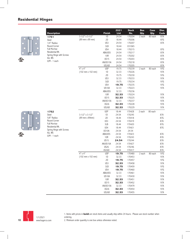

| <b>Description</b>                 |                   | <b>Finish</b>        | 2021<br><b>List</b> | <b>Stock</b><br>No. | <b>Box</b><br>Qty. | Case<br>Qty. | Disc.<br>Code |
|------------------------------------|-------------------|----------------------|---------------------|---------------------|--------------------|--------------|---------------|
|                                    | $3-1/2"$ x 3-1/2" | 1D                   | 24.54               | 170204              | 2 each             | 80 each      | 87A           |
| 1751                               | (89 mm x 89 mm)   | 2D                   | 18.44               | 170206              |                    |              | 87G           |
| Steel<br>1/4" Radius               |                   | US3                  | 24.54               | 170207              |                    |              | 87A           |
| Round Corner                       |                   | 3LB                  | 18.44               | 031065              |                    |              |               |
| <b>Full Mortise</b>                |                   | US4                  | 18.44               | 170215              |                    |              | 87G           |
| Residential Wt.                    |                   | ABA/US5              | 24.54               | 170217              |                    |              | 87A           |
| Spring Hinge with Screws           |                   | <b>10R</b>           | 24.54               | 170202              |                    |              | 87A           |
| ALL WS                             |                   | <b>US15</b>          | 24.54               | 170203              |                    |              | 87A           |
| $U/M - 1$ each                     |                   | AN/US15A             | 24.54               | 170218              |                    |              | 87A           |
|                                    |                   | <b>US26D</b>         | 24.54               | 170205              |                    |              | 87A           |
|                                    | $4"$ x $4"$       | <b>USP</b>           | 19.75               | 170239              | 2 each             | 80 each      | 97G           |
|                                    | (102 mm x 102 mm) | 1D                   | 32.33               | 170226              |                    |              | 97A           |
|                                    |                   | 2D                   | 19.75               | 170230              |                    |              | 97G           |
|                                    |                   | US3                  | 32.33               | 170233              |                    |              | 97A           |
|                                    |                   | 3LB                  | 19.75               | 170234              |                    |              | 97G           |
|                                    |                   | US4                  | 19.75               | 170235              |                    |              | 97G           |
|                                    |                   | US10A                | 32.33               | 170223              |                    |              | 97A           |
|                                    |                   | ABA/US5              | 32.33               | 170236              |                    |              |               |
|                                    |                   | <b>10R</b>           | 32.33               | 170224              |                    |              | 97A           |
|                                    |                   | <b>US15</b>          | 32.33               | 170225              |                    |              | 97A           |
|                                    |                   | AN/US15A             | 32.33               | 170237              |                    |              | 97A           |
|                                    |                   | <b>US26</b>          | 32.33               | 170228              |                    |              | 97A           |
|                                    |                   | <b>US26D</b>         | 32.33               | 170229              |                    |              | 97A           |
| 1752                               |                   | <b>USP</b>           | 18.44               | 170428              | 2 each             | 80 each      |               |
| <b>Steel</b>                       | $3-1/2"$ x 3-1/2" | 1D                   | 24.54               | 170245              |                    |              | 87A           |
| 5/8" Radius                        | (89 mm x 89mm)    | 2D                   | 18.44               | 170418              |                    |              | 87G           |
| Round Corner                       |                   | US3                  | 24.54               | 170419              |                    |              | 87A           |
| <b>Full Mortise</b>                |                   | 3LB                  | 18.44               | 170420              |                    |              | 87G           |
| Residential Wt.                    |                   | US4                  | 18.44               | 170421              |                    |              | 87G           |
| Spring Hinge with Screws<br>ALL WS |                   | US10A                | 24.54               | 24.54               |                    |              |               |
| $U/M - 1$ each                     |                   | ABA/US5              | 24.54               | 170423              |                    |              | 87A           |
|                                    |                   | <b>10R</b>           | 24.54               | 170243              |                    |              | 87A           |
|                                    |                   | <b>US15</b>          | 24.54               | 170244              |                    |              | 87A           |
|                                    |                   | AN/US15A             | 24.54               | 170427              |                    |              | 87A           |
|                                    |                   | <b>US26</b>          | 24.54               | 170246              |                    |              | 87A           |
|                                    |                   | <b>US26D</b>         | 24.54               | 170417              |                    |              | 87A           |
|                                    | $4"$ x $4"$       | <b>USP</b>           | 19.75               | 170480              | 2 each             | 80 each      | 97G           |
|                                    | (102 mm x 102 mm) | 1D                   | 32.33               | 170453              |                    |              | 97A           |
|                                    |                   | 2D                   | 19.75               | 170457              |                    |              | 97G           |
|                                    |                   | US3                  | 32.33               | 170458              |                    |              | 97A           |
|                                    |                   | 3LB                  | 19.75               | 170459              |                    |              | 97G           |
|                                    |                   | US4                  | 19.75               | 170460              |                    |              | 97G           |
|                                    |                   | ABA/US5              | 32.33               | 170461              |                    |              | 97A           |
|                                    |                   | US10A                | 32.33               | 170430              |                    |              | 97A           |
|                                    |                   | 10R                  | 32.33               | 170451              |                    |              | 97A           |
|                                    |                   | <b>US15</b>          | 32.33               | 170452              |                    |              | 97A           |
|                                    |                   | AN/US15A             | 32.33               | 170479              |                    |              | 97A           |
|                                    |                   | <b>US26</b><br>US26D | 32.33<br>32.33      | 170454<br>170455    |                    |              | 97A<br>97A    |
|                                    |                   |                      |                     |                     |                    |              |               |





1/1/2021 www.hagerco.com 1. Items with prices in **bold** are stock items and usually ship within 24 hours. Please use stock number when ordering.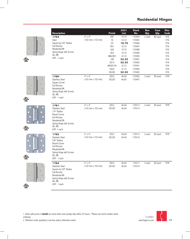









 $\epsilon$ <sup>(U<sub>L</sub>) us</sub></sup>

| <b>Description</b>                                                                                                                                              |                                                                | <b>Finish</b>                                                                                                           | 2021<br><b>List</b>                                                                                      | <b>Stock</b><br>No.                                                                                                  | Box<br>Qty. | Case<br>Qty. | Disc.<br>Code                                                                    |
|-----------------------------------------------------------------------------------------------------------------------------------------------------------------|----------------------------------------------------------------|-------------------------------------------------------------------------------------------------------------------------|----------------------------------------------------------------------------------------------------------|----------------------------------------------------------------------------------------------------------------------|-------------|--------------|----------------------------------------------------------------------------------|
| 1754<br>Steel<br>Square by 5/8" Radius<br><b>Full Mortise</b><br>Residential Wt.<br>Spring Hinge with Screws<br><b>ALL WS</b><br>$U/M - 1$ each                 | $4"$ x $4"$<br>(102 mm x 102 mm)                               | <b>USP</b><br>1D<br>2D<br>US3<br>3LB<br>US4<br>ABA/US5<br><b>10R</b><br><b>US15</b><br>AN/US15A<br><b>US26</b><br>US26D | 19.75<br>32.33<br>19.75<br>32.33<br>19.75<br>19.75<br>32.33<br>32.33<br>32.33<br>32.33<br>32.33<br>32.33 | 170494<br>170483<br>170486<br>170487<br>170488<br>170489<br>170490<br>170481<br>170482<br>170491<br>170484<br>170485 | 2 each      | 80 each      | 97G<br>97G<br>97G<br>97A<br>97G<br>97A<br>97G<br>97A<br>97A<br>97A<br>97A<br>97A |
| 1760<br><b>Stainless Steel</b><br>Square Corner<br><b>Full Mortise</b><br>Residential Wt.<br>Spring Hinge with Screws<br>ALL WS<br>$U/M - 1$ each               | $4"$ x $4"$<br>$(102 \, \text{mm} \times 102 \, \text{mm})$    | <b>US32</b><br>US32D                                                                                                    | 46.60<br>46.60                                                                                           | 170495<br>170497                                                                                                     | 2 each      | 80 each      | 97M                                                                              |
| 1761<br><b>Stainless Steel</b><br>1/4" Radius<br>Round Corner<br><b>Full Mortise</b><br>Residential Wt.<br>Spring Hinge with Screws<br>ALL WS<br>$U/M - 1$ each | $4" \times 4"$<br>(102 mm x 102 mm)                            | US32<br>US32D                                                                                                           | 46.60<br>46.60                                                                                           | 170513<br>170514                                                                                                     | 2 each      | 80 each      | 97M                                                                              |
| 1762<br><b>Stainless Steel</b><br>5/8" Radius<br>Round Corner<br><b>Full Mortise</b><br>Residential Wt.<br>Spring Hinge with Screws<br>ALL WS<br>$U/M - 1$ each | $4" \times 4"$<br>$(102 \, \text{mm} \times 102 \, \text{mm})$ | <b>US32</b><br>US32D                                                                                                    | 46.60<br>46.60                                                                                           | 170515<br>170516                                                                                                     | 2 each      | 80 each      | 97M                                                                              |
| 1764<br><b>Stainless Steel</b><br>Square by 5/8" Radius<br>Full Mortise<br>Residential Wt.<br>Spring Hinge with Screws<br>ALL WS<br>$U/M - 1$ each              | $4"$ x $4"$<br>(102 mm x 102 mm)                               | <b>US32</b><br>US32D                                                                                                    | 46.60<br>46.60                                                                                           | 170517<br>170519                                                                                                     | 2 each      | 80 each      | 97M                                                                              |

1. Items with prices in **bold** are stock items and usually ship within 24 hours. Please use stock number when ordering.



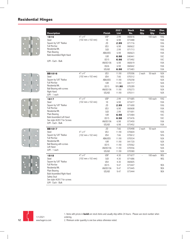









| <b>Description</b>                                                                          |                                              | <b>Finish</b> | 2021<br><b>List</b> | <b>Stock</b><br>No. | <b>Box</b><br>Qty.       | Case<br>Qty. | Disc.<br>Code |
|---------------------------------------------------------------------------------------------|----------------------------------------------|---------------|---------------------|---------------------|--------------------------|--------------|---------------|
| 1816                                                                                        | $4"$ x $4"$                                  | <b>USP</b>    | 2.99                | 060616              |                          | 100 each     | 93G           |
| Steel                                                                                       | (102 mm x 102 mm)                            | 1D            | 6.98                | 073488              |                          |              | 93A           |
| Square by 5/8" Radius                                                                       |                                              | 2D            | 2.99                | 071716              |                          |              | 93G           |
| <b>Full Mortise</b>                                                                         |                                              | US3           | 6.98                | 060622              |                          |              | 93A           |
| Residential Wt.                                                                             |                                              | 3LB           | 2.99                | 071713              |                          |              | 93G           |
| Plain Bearing                                                                               |                                              | ABA/US5       | 6.98                | 060623              |                          |              | 93A           |
| Bulk Assembled Right Hand                                                                   |                                              | <b>10R</b>    | 6.98                | 040441              |                          |              | 93C           |
|                                                                                             |                                              | <b>US15</b>   | 6.98                | 073492              |                          |              | 93C           |
| U/M - Each - Bulk                                                                           |                                              | AN/US15A      | 6.98                | 060619              |                          |              | 93A           |
|                                                                                             |                                              | <b>US26</b>   | 6.98                | 060642              |                          |              | 93A           |
|                                                                                             |                                              | <b>US26D</b>  | 6.98                | 073483              |                          |              | 93A           |
| <b>BB1816</b>                                                                               | $4" \times 4"$                               | US3           | 11.90               | 070306              | 2 each                   | 50 each      | 92A           |
| <b>Steel</b>                                                                                | $(102 \, \text{mm} \times 102 \, \text{mm})$ | US4           | 7.66                | 070312              |                          |              | 92G           |
| Square by 5/8" Radius                                                                       |                                              | ABA/US5       | 11.90               | 070258              |                          |              | 92A           |
| <b>Full Mortise</b>                                                                         |                                              | 10R           | 11.90               | 041717              |                          |              | 92A           |
| Residential Wt.                                                                             |                                              | <b>US15</b>   | 11.90               | 070289              |                          |              | 92A           |
| Ball Bearing with screws                                                                    |                                              | AN/US15A      | 11.90               | 070273              |                          |              | 92A           |
| <b>Right Hand</b><br>$U/M - 1$ each                                                         |                                              | <b>US26D</b>  | 11.90               | 070311              |                          |              | 92A           |
| 1817                                                                                        | $4"$ x $4"$                                  | <b>USP</b>    | 2.99                | 071685              | $\overline{\phantom{a}}$ | 100 each     | 93G           |
| <b>Steel</b>                                                                                | (102 mm x 102 mm)                            | 1D            | 6.98                | 073477              |                          |              | 93A           |
| Square by 5/8" Radius                                                                       |                                              | 2D            | 2.99                | 071690              |                          |              | 93G           |
| <b>Full Mortise</b>                                                                         |                                              | US3           | 6.98                | 060608              |                          |              | 93A           |
| Residential Wt.                                                                             |                                              | 3LB           | 2.99                | 071691              |                          |              | 93G           |
| Plain Bearing                                                                               |                                              | <b>10R</b>    | 6.98                | 073484              |                          |              | 93C           |
| Bulk Assembled Left Hand                                                                    |                                              | <b>US15</b>   | 6.98                | 073476              |                          |              | 93C           |
| See style #2817 for Screws                                                                  |                                              | AN/US15A      | 6.98                | 073450              |                          |              | 93A           |
| U/M - Each - Bulk                                                                           |                                              | <b>US26D</b>  | 6.98                | 073452              |                          |              | 93A           |
| <b>BB1817</b>                                                                               |                                              | 2D            | 7.66                | 070498              | 2 each                   | 50 each      |               |
| Steel                                                                                       | 4" x 4"                                      | US3           | 11.90               | 070604              |                          |              | 92A           |
| Square by 5/8" Radius                                                                       | (102 mm x 102 mm)                            | US4           | 7.66                | 070612              |                          |              | 92G           |
| <b>Full Mortise</b>                                                                         |                                              | ABA/US5       | 11.90               | 070534              |                          |              | 92A           |
| Residential Wt.                                                                             |                                              | <b>10R</b>    | 11.90               | 041720              |                          |              | 92A           |
| Ball Bearing with screws                                                                    |                                              | <b>US15</b>   | 11.90               | 070562              |                          |              | 92A           |
| Left Hand                                                                                   |                                              | AN/US15A      | 11.90               | 070556              |                          |              | 92A           |
| $U/M - 1$ each                                                                              |                                              | <b>US26D</b>  | 11.90               | 070580              |                          |              | 92A           |
| 1818                                                                                        | $4" \times 4"$                               | <b>USP</b>    | 4.30                | 071677              |                          | 100 each     | 9EG           |
| Steel                                                                                       | $(102 \, \text{mm} \times 102 \, \text{mm})$ | 3LB           | 4.30                | 071686              |                          |              | 9EG           |
| Square by 5/8" Radius                                                                       |                                              | US4           | 4.30                | 060605              |                          |              |               |
| Full Mortise                                                                                |                                              | <b>US15</b>   | 9.47                | 073447              |                          |              | 9EA           |
| Residential Wt.<br>Plain Bearing                                                            |                                              | AN/US15A      | 9.47                | 073445              |                          |              | 9EA           |
| Bulk Assembled Right Hand<br>Safety Stud<br>See style #2817 for screws<br>U/M - Each - Bulk |                                              | <b>US26D</b>  | 9.47                | 073444              |                          |              | 9EA           |



1. Items with prices in **bold** are stock items and usually ship within 24 hours. Please use stock number when ordering.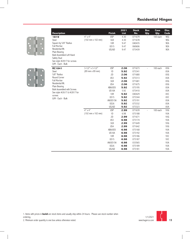

| <b>Description</b>                                 |                                              | <b>Finish</b>   | 2021<br><b>List</b> | <b>Stock</b><br>No. | <b>Box</b><br>Qty. | Case<br>Qty. | Disc.<br>Code |
|----------------------------------------------------|----------------------------------------------|-----------------|---------------------|---------------------|--------------------|--------------|---------------|
| 1819                                               | $4" \times 4"$                               | <b>USP</b>      | 4.30                | 071679              | $\frac{1}{2}$      | 100 each     | 9EG           |
| Steel                                              | (102 mm x 102 mm)                            | 3LB             | 4.30                | 071678              |                    |              | 9EG           |
| Square by 5/8" Radius                              |                                              | <b>10R</b>      | 9.47                | 040435              |                    |              | 9EA           |
| <b>Full Mortise</b>                                |                                              | <b>US15</b>     | 9.47                | 060606              |                    |              | 9EA           |
| Residential Wt.                                    |                                              | <b>US26D</b>    | 9.47                | 073439              |                    |              | 9EA           |
| Plain Bearing<br><b>Bulk Assembled Left Hand</b>   |                                              |                 |                     |                     |                    |              |               |
| Safety Stud                                        |                                              |                 |                     |                     |                    |              |               |
| See style #2817 for screws                         |                                              |                 |                     |                     |                    |              |               |
| U/M - Each - Bulk                                  |                                              |                 |                     |                     |                    |              |               |
| <b>RC1841</b>                                      | $3-1/2"$ x 3-1/2"                            | <b>USP</b>      | 2.06                | 071673              | $\overline{a}$     | 100 each     | 83G           |
| Steel                                              | (89 mm x 89 mm)                              | 1D              | 5.92                | 073341              |                    |              | 83A           |
| 5/8" Radius                                        |                                              | 2D              | 2.06                | 071680              |                    |              | 83G           |
| Round Corner                                       |                                              | US <sub>3</sub> | 5.92                | 073313              |                    |              | 83A           |
| <b>Full Mortise</b>                                |                                              | 3LB             | 2.06                | 071681              |                    |              | 83G           |
| Residential Wt.                                    |                                              | US4             | 2.06                | 071675              |                    |              | 83G           |
| Plain Bearing<br><b>Bulk Assembled with Screws</b> |                                              | ABA/US5         | 5.92                | 073195              |                    |              | 83A           |
| See style #2617 & #2817 for                        |                                              | US10A           | 5.92                | 073410              |                    |              | 83A           |
| screws                                             |                                              | <b>10R</b>      | 5.92                | 040429              |                    |              | 83C           |
| U/M - Each - Bulk                                  |                                              | <b>US15</b>     | 5.92                | 073344              |                    |              | 83C           |
|                                                    |                                              | AN/US15A        | 5.92                | 073191              |                    |              | 83A           |
|                                                    |                                              | <b>US26</b>     | 5.92                | 073332              |                    |              | 83A           |
|                                                    |                                              | US26D           | 5.92                | 073323              |                    |              | 83A           |
|                                                    | $4" \times 4"$                               | <b>USP</b>      | 2.99                | 071639              | $\overline{a}$     | 100 each     | 93G           |
|                                                    | $(102 \, \text{mm} \times 102 \, \text{mm})$ | 1D              | 6.98                | 073188              |                    |              | 93A           |
|                                                    |                                              | 2D              | 2.99                | 071671              |                    |              | 93G           |
|                                                    |                                              | US <sub>3</sub> | 6.98                | 073174              |                    |              | 93A           |
|                                                    |                                              | 3LB             | 2.99                | 071649              |                    |              | 93G           |
|                                                    |                                              | US4             | 2.99                | 071642              |                    |              | 93G           |
|                                                    |                                              | ABA/US5         | 6.98                | 073168              |                    |              | 93A           |
|                                                    |                                              | US10A           | 6.98                | 073192              |                    |              | 93A           |
|                                                    |                                              | <b>10R</b>      | 6.98                | 073186              |                    |              | 93C           |
|                                                    |                                              | <b>US15</b>     | 6.98                | 073187              |                    |              | 93C           |
|                                                    |                                              | AN/US15A        | 6.98                | 033565              |                    |              | 93A           |
|                                                    |                                              | <b>US26</b>     | 6.98                | 073189              |                    |              | 93A           |
|                                                    |                                              | US26D           | 6.98                | 073181              |                    |              | 93A           |

1. Items with prices in **bold** are stock items and usually ship within 24 hours. Please use stock number when ordering.

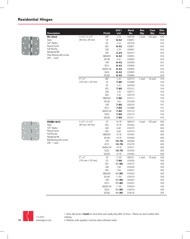

|                                        |                                              |               | 2021        | <b>Stock</b> | <b>Box</b> | Case     | Disc. |
|----------------------------------------|----------------------------------------------|---------------|-------------|--------------|------------|----------|-------|
| <b>Description</b>                     |                                              | <b>Finish</b> | <b>List</b> | No.          | Qty.       | Qty.     | Code  |
| <b>RC1842</b>                          | $3-1/2"$ x 3-1/2"                            | <b>USP</b>    | 2.24        | 029759       | 2 each     | 100 each | 81G   |
| Steel                                  | (89 mm x 89 mm)                              | 1D            | 6.42        | 030857       |            |          | 81A   |
| 5/8" Radius<br>Round Corner            |                                              | 2D            | 2.24        | 029756       |            |          | 81G   |
| <b>Full Mortise</b>                    |                                              | US3           | 6.42        | 030851       |            |          | 81A   |
| Residential Wt.                        |                                              | 3LB           | 2.24        | 029847       |            |          | 81G   |
| Plain Bearing with screws              |                                              | US4           | 2.24        | 029757       |            |          | 81G   |
| $U/M - 1$ each                         |                                              | ABA/US5       | 6.42        | 030853       |            |          | 81A   |
|                                        |                                              | US10A         | 6.42        | 030843       |            |          | 81A   |
|                                        |                                              | 10R           | 6.42        | 042009       |            |          | 81C   |
|                                        |                                              | <b>US15</b>   | 6.42        | 030856       |            |          | 81C   |
|                                        |                                              | AN/US15A      | 6.42        | 030859       |            |          | 81A   |
|                                        |                                              | <b>US26</b>   | 6.42        | 030845       |            |          | 81A   |
|                                        |                                              | US26D         | 6.42        | 030846       |            |          | 81A   |
|                                        | $4"$ x $4"$                                  | <b>USP</b>    | 3.30        | 029774       | 2 each     | 50 each  | 91G   |
|                                        | $(102 \, \text{mm} \times 102 \, \text{mm})$ | 1D            | 7.60        | 032899       |            |          | 91A   |
|                                        |                                              | 2D            | 3.30        | 029769       |            |          | 91G   |
|                                        |                                              | US3           | 7.60        | 033312       |            |          | 91A   |
|                                        |                                              | 3LB           | 3.30        | 029771       |            |          | 91G   |
|                                        |                                              | US4           | 3.30        | 029770       |            |          | 91G   |
|                                        |                                              | ABA/US5       | 7.60        | 033313       |            |          | 91A   |
|                                        |                                              | <b>US10A</b>  | 7.60        | 033309       |            |          | 91A   |
|                                        |                                              | <b>10R</b>    | 7.60        | 042010       |            |          | 91C   |
|                                        |                                              | <b>US15</b>   | 7.60        | 032898       |            |          | 91C   |
|                                        |                                              | AN/US15A      | 7.60        | 033314       |            |          | 91A   |
|                                        |                                              | <b>US26</b>   | 7.60        | 033310       |            |          | 91A   |
|                                        |                                              | US26D         | 7.60        | 033311       |            |          | 91A   |
| <b>RCBB1842</b>                        | $3-1/2"$ x $3-1/2"$                          | 1D            | 10.78       | 084215       | 2 each     | 100 each | 82A   |
| Steel                                  | (89 mm x 89 mm)                              | US3           | 10.78       | 034363       |            |          | 82A   |
| 5/8" Radius                            |                                              | 3LB           | 6.60        | 034375       |            |          | 82G   |
| Round Corner                           |                                              | US4           | 6.60        | 034374       |            |          | 82G   |
| <b>Full Mortise</b><br>Residential Wt. |                                              | ABA/US5       | 10.78       | 034367       |            |          | 82A   |
| Ball Bearing with screws               |                                              | US10A         | 10.78       | 034366       |            |          | 82A   |
| $U/M - 1$ each                         |                                              | 10R           | 10.78       | 042006       |            |          | 82A   |
|                                        |                                              | <b>US15</b>   | 10.78       | 034370       |            |          | 82A   |
|                                        |                                              | AN/US15A      | 10.78       | 034371       |            |          | 82A   |
|                                        |                                              | <b>US26</b>   | 10.78       | 034364       |            |          | 82A   |
|                                        |                                              | US26D         | 10.78       | 034365       |            |          | 82A   |
|                                        | $4"$ x $4"$                                  | 1D            | 11.90       | 084231       | 2 each     | 50 each  | 92A   |
|                                        | $(102 \, \text{mm} \times 102 \, \text{mm})$ | 2D            | 7.66        | 034526       |            |          | 92G   |
|                                        |                                              | US3           | 11.90       | 034515       |            |          | 92A   |
|                                        |                                              | 3LB           | 7.66        | 034528       |            |          | 92G   |
|                                        |                                              | US4           | 7.66        | 034527       |            |          | 92G   |
|                                        |                                              | ABA/US5       | 11.90       | 034520       |            |          | 92A   |
|                                        |                                              | US10A         | 11.90       | 034519       |            |          | 92A   |
|                                        |                                              | 10R           | 11.90       | 042007       |            |          | 92A   |
|                                        |                                              | <b>US15</b>   | 11.90       | 034523       |            |          | 92A   |
|                                        |                                              | AN/US15A      | 11.90       | 034524       |            |          | 92A   |
|                                        |                                              | US26          | 11.90       | 034516       |            |          | 92A   |
|                                        |                                              | US26D         | 11.90       | 034518       |            |          | 92A   |





1. Items with prices in **bold** are stock items and usually ship within 24 hours. Please use stock number when ordering.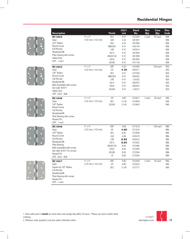









| <b>Description</b>                   |                                              | <b>Finish</b>   | 2021<br><b>List</b> | <b>Stock</b><br>No. | <b>Box</b><br>Qty.       | Case<br>Qty. | Disc.<br>Code |
|--------------------------------------|----------------------------------------------|-----------------|---------------------|---------------------|--------------------------|--------------|---------------|
| <b>RC1843</b>                        | $4" \times 4"$                               | US <sub>3</sub> | 9.47                | 033649              | 2 each                   | 50 each      | 9DA           |
| <b>Steel</b>                         | (102 mm x 102 mm)                            | 3LB             | 4.24                | 081897              |                          |              | 9DG           |
| 5/8" Radius                          |                                              | US4             | 4.24                | 081896              |                          |              | 9DG           |
| Round Corner                         |                                              | ABA/US5         | 9.47                | 036149              |                          |              | 9DA           |
| <b>Full Mortise</b>                  |                                              | 10R             | 9.47                | 042014              |                          |              | 9DA           |
| Residential Wt.                      |                                              | <b>US15</b>     | 9.47                | 081894              |                          |              | 9DA           |
| Plain bearing with screws            |                                              | AN/US15A        | 9.47                | 081898              |                          |              | 9DA           |
| Safety Stud                          |                                              | <b>US26</b>     | 9.47                | 081895              |                          |              | 9DA           |
| $U/M - 1$ each                       |                                              | <b>US26D</b>    | 9.47                | 037158              |                          |              | 9DA           |
| <b>RC1843</b>                        | $4"$ x $4"$                                  | <b>USP</b>      | 4.30                | 033589              | $\frac{1}{2}$            | 100 each     | 9EG           |
| <b>Steel</b>                         | $(102 \, \text{mm} \times 102 \, \text{mm})$ | 2D              | 4.30                | 060571              |                          |              | 9EG           |
| 5/8" Radius                          |                                              | US3             | 9.47                | 037028              |                          |              | 9EA           |
| Round Corner                         |                                              | ABA/US5         | 9.47                | 060565              |                          |              | 9EA           |
| <b>Full Mortise</b>                  |                                              | 10R             | 9.47                | 129302              |                          |              | 9EA           |
| Residential Wt.                      |                                              | <b>US15</b>     | 9.47                | 060597              |                          |              | 9EA           |
| <b>Bulk Assembled with screws</b>    |                                              | <b>US26</b>     | 9.47                | 060593              |                          |              | 9EA           |
| See style #2817                      |                                              | US26D           | 9.47                | 126537              |                          |              | 9EA           |
| Safety Stud<br>U/M - Each - Bulk     |                                              |                 |                     |                     |                          |              |               |
| <b>RC1846</b>                        | $4" \times 4"$                               | 2D              | 4.80                | 033651              | 2 each                   | 50 each      | 9AG           |
| <b>Steel</b>                         | $(102 \, \text{mm} \times 102 \, \text{mm})$ | US3             | 12.40               | 033844              |                          |              | 9AA           |
| 5/8" Radius                          |                                              | US26D           | 12.40               | 033843              |                          |              | 9AA           |
| Round Corner                         |                                              |                 |                     |                     |                          |              |               |
| <b>Full Mortise</b>                  |                                              |                 |                     |                     |                          |              |               |
| Residential Wt.                      |                                              |                 |                     |                     |                          |              |               |
| Plain Bearing with screws            |                                              |                 |                     |                     |                          |              |               |
| <b>Riveted Pin</b>                   |                                              |                 |                     |                     |                          |              |               |
| $U/M - 1$ each                       | $4" \times 4"$                               |                 |                     |                     |                          |              |               |
| <b>RC1846</b>                        |                                              | <b>USP</b>      | 4.80                | 071618              | $\overline{\phantom{0}}$ | 100 each     | 9BG           |
| <b>Steel</b><br>5/8" Radius          | $(102 \, \text{mm} \times 102 \, \text{mm})$ | 2D              | 4.80                | 071634              |                          |              | 9BG           |
| Round Corner                         |                                              | US3             | 8.85                | 072996              |                          |              | 9BA           |
| Full Mortise                         |                                              | 3LB             | 4.80                | 029579              |                          |              | 9BG<br>9BA    |
| Residential Wt.                      |                                              | 10R             | 8.85                | 040422              |                          |              |               |
| Plain Bearing                        |                                              | <b>US15</b>     | 8.85                | 073003              |                          |              | 9BA           |
| Bulk assembled with screws           |                                              | AN/US15A        | 8.85                | 072986              |                          |              | 9BA           |
| See style #2817 for screws           |                                              | <b>US26</b>     | 8.85                | 072999              |                          |              | 9BA<br>9BA    |
| <b>Riveted Pin</b>                   |                                              | US26D           | 8.85                | 072994              |                          |              |               |
| U/M - Each - Bulk                    |                                              | 1D              | 8.85                | 073004              |                          |              | 9BA           |
| <b>RC1847</b>                        | $4"$ x $4"$                                  | <b>USP</b>      | 4.80                | 033658              | 2 each                   | 50 each      | 9AG           |
| Steel                                | (102 mm x 102 mm)                            | 2D              | 4.80                | 033654              |                          |              | 9AG           |
| Square by 5/8" Radius                |                                              | US3             | 12.40               | 037777              |                          |              | 9AA           |
| <b>Full Mortise</b>                  |                                              |                 |                     |                     |                          |              |               |
| Residential Wt.                      |                                              |                 |                     |                     |                          |              |               |
| Plain Bearing with screws            |                                              |                 |                     |                     |                          |              |               |
| <b>Riveted Pin</b><br>$U/M - 1$ each |                                              |                 |                     |                     |                          |              |               |
|                                      |                                              |                 |                     |                     |                          |              |               |

1. Items with prices in **bold** are stock items and usually ship within 24 hours. Please use stock number when ordering.

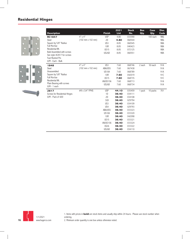







1. Items with prices in **bold** are stock items and usually ship within 24 hours. Please use stock number when ordering. 2. Minimum order quantity is one box unless otherwise noted.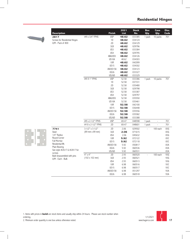

| <b>Description</b>            |                   | <b>Finish</b>   | 2021<br><b>List</b> | <b>Stock</b><br>No. | <b>Box</b><br>Qty. | Case<br>Qty.                 | Disc.<br>Code |
|-------------------------------|-------------------|-----------------|---------------------|---------------------|--------------------|------------------------------|---------------|
| 2817                          | #9 x 3/4" FPHS    | <b>USP</b>      | 48.62               | 033385              | 1 pack             | 10 packs                     | 701           |
| Screws for Residential Hinges |                   | 1D              | 48.62               | 034124              |                    |                              |               |
| U/M - Pack of 800             |                   | 2D              | 48.62               | 034129              |                    |                              |               |
|                               |                   | 3LB             | 48.62               | 029796              |                    |                              |               |
|                               |                   | US3             | 48.62               | 033384              |                    |                              |               |
|                               |                   | US4             | 48.62               | 029795              |                    |                              |               |
|                               |                   | ABA/US5         | 48.62               | 034126              |                    |                              |               |
|                               |                   | US10A           | 48.62               | 034303              |                    |                              |               |
|                               |                   | 10 <sub>R</sub> | 48.62               | 042099              |                    |                              |               |
|                               |                   | <b>US15</b>     | 48.62               | 034302              |                    |                              |               |
|                               |                   | AN/US15A        | 48.62               | 034123              |                    |                              |               |
|                               |                   | <b>US26</b>     | 48.62               | 033327              |                    |                              |               |
|                               |                   | <b>US26D</b>    | 48.62               | 033329              |                    |                              |               |
|                               | #9 X 1" FPHS      | <b>USP</b>      | 52.58               | 033386              | 1 pack             | 10 packs                     | 701           |
|                               |                   | 1D              | 52.58               | 037331              |                    |                              |               |
|                               |                   | 2D              | 52.58               | 035480              |                    |                              |               |
|                               |                   | 3LB             | 52.58               | 029798              |                    |                              |               |
|                               |                   | US3             | 52.58               | 033387              |                    |                              |               |
|                               |                   | US4             | 52.58               | 029797              |                    |                              |               |
|                               |                   | ABA/US5         | 52.58               | 035550              |                    |                              |               |
|                               |                   | US10A           | 52.58               | 035461              |                    |                              |               |
|                               |                   | 10 <sub>R</sub> | 52.58               | 042100              |                    |                              |               |
|                               |                   | <b>US15</b>     | 52.58               | 036448              |                    |                              |               |
|                               |                   | AN/US15A        | 52.58               | 035556              |                    |                              |               |
|                               |                   | <b>US26</b>     | 52.58               | 035582              |                    |                              |               |
|                               |                   | US26D           | 52.58               | 033388              |                    |                              |               |
|                               | #9 x 2-1/2" FPHS  | <b>USP</b>      | 69.47               | 048598              | 1 pack             | $\qquad \qquad \blacksquare$ | 701           |
|                               | #10 x 2-1/2" FPHS | 2D              | 69.47               | 048601              | 1 pack             | $\overline{a}$               | 701           |
| 7741                          | $3-1/2"$ x 3-1/2" | 2D              | 2.06                | 029502              |                    | 100 each                     | 83G           |
| Steel                         | (89 mm x 89 mm)   | 3LB             | 2.06                | 071615              |                    |                              | 83G           |
| 1/4" Radius                   |                   | US4             | 2.06                | 045632              |                    |                              | 83G           |
| Round Corner                  |                   | 10 <sub>R</sub> | 5.92                | 072122              |                    |                              | 83C           |
| <b>Full Mortise</b>           |                   | <b>US15</b>     | 5.92                | 072118              |                    |                              | 83C           |
| Residential Wt.               |                   | AN/US15A        | 5.92                | 050817              |                    |                              | 83A           |
| Plain Bearing                 |                   | <b>US26</b>     | 5.92                | 060536              |                    |                              | 83A           |
| See style #2617 & #2817 for   |                   | <b>US26D</b>    | 5.92                | 060531              |                    |                              | 83A           |
| screws                        | $4" \times 4"$    | 2D              | 2.93                | 060520              | $\overline{a}$     | 100 each                     | 93G           |
| Bulk Unassembled with pins    | (102 x 102 mm)    | 3LB             | 2.93                | 060521              |                    |                              | 93G           |
| U/M - Each - Bulk             |                   | US4             | 2.93                | 060513              |                    |                              | 93G           |
|                               |                   | 10R             | 6.98                | 060516              |                    |                              | 93C           |
|                               |                   | <b>US15</b>     | 6.98                | 060517              |                    |                              | 93C           |
|                               |                   | AN/US15A        | 6.98                | 051297              |                    |                              | 93A           |
|                               |                   | <b>US26</b>     | 6.98                | 060518              |                    |                              | 93A           |



1. Items with prices in **bold** are stock items and usually ship within 24 hours. Please use stock number when

ordering.

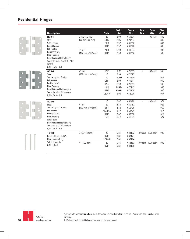| <b>Description</b>                                                                                            |                                              | <b>Finish</b> | 2021<br><b>List</b> | <b>Stock</b><br>No. | Box<br>Qty.    | Case<br>Qty.       | Disc.<br>Code |
|---------------------------------------------------------------------------------------------------------------|----------------------------------------------|---------------|---------------------|---------------------|----------------|--------------------|---------------|
| 8741                                                                                                          | $3-1/2"$ x 3-1/2"                            | 2D            | 2.99                | 061574              | $\frac{1}{2}$  | 100 each           | 83G           |
| Steel                                                                                                         | (89 mm x 89 mm)                              | 3LB           | 2.06                | 029497              |                |                    | 83G           |
| 5/8" Radius                                                                                                   |                                              | <b>10R</b>    | 5.92                | 061592              |                |                    | 83A           |
| Round Corner<br><b>Full Mortise</b>                                                                           |                                              | <b>US15</b>   | 5.92                | 061572              |                |                    | 83C           |
| Residential Wt.                                                                                               | $4"$ x $4"$                                  | <b>10R</b>    | 6.98                | 040623              |                |                    | 93C           |
| Plain Bearing<br>Bulk Unassembled with pins<br>See style #2617 & #2817 for<br>screws<br>U/M - Each - Bulk     | $(102 \, \text{mm} \times 102 \, \text{mm})$ | <b>US15</b>   | 6.98                | 061556              |                |                    | 93C           |
| 8744                                                                                                          | $4"$ x $4"$                                  | <b>USP</b>    | 2.99                | 071599              |                | 100 each           | 93G           |
| Steel                                                                                                         | $(102 \, \text{mm} \times 102 \, \text{mm})$ | 1D            | 6.98                | 072097              |                |                    |               |
| Square by 5/8" Radius                                                                                         |                                              | 2D            | 2.99                | 071610              |                |                    | 93G           |
| <b>Full Mortise</b>                                                                                           |                                              | 3LB           | 2.99                | 071611              |                |                    | 93G           |
| Residential Wt.                                                                                               |                                              | US4           | 6.98                | 071607              |                |                    | 93G           |
| Plain Bearing                                                                                                 |                                              | <b>10R</b>    | 6.98                | 072113              |                |                    | 93C           |
| Bulk Unassembled with pins                                                                                    |                                              | <b>US15</b>   | 6.98                | 072109              |                |                    | 93C           |
| See style #2817 for screws<br>U/M - Each - Bulk                                                               |                                              | <b>US26D</b>  | 6.98                | 072090              |                |                    | 93A           |
| 8746                                                                                                          |                                              | 1D            | 9.47                | 060492              | $\overline{a}$ | 100 each           | 9EA           |
| Steel                                                                                                         | $4" \times 4"$                               | 2D            | 4.30                | 060487              |                |                    | 9EG           |
| Square by 5/8" Radius                                                                                         | $(102 \, \text{mm} \times 102 \, \text{mm})$ | US4           | 4.30                | 060479              |                |                    | 9EG           |
| <b>Full Mortise</b>                                                                                           |                                              | ABA/US5       | 9.47                | 060475              |                |                    | 9EA           |
| Residential Wt.                                                                                               |                                              | <b>US15</b>   | 9.47                | 060502              |                |                    | 9EA           |
| Plain Bearing<br>Safety Stud<br>Bulk Unassembled with pins<br>See style #2817 for screws<br>U/M - Each - Bulk |                                              | <b>10R</b>    | 9.47                | 040415              |                |                    | 9EA           |
| 1700                                                                                                          | $3-1/2"$ (89 mm)                             | 2D            | 0.81                | 038152              |                | 100 each 1000 each | 900           |
| Pins for Residential Wt.                                                                                      |                                              | <b>US15</b>   | 0.81                | 038173              |                |                    |               |
| Plain Bearing Hinges                                                                                          |                                              | <b>US26D</b>  | 0.81                | 038174              |                |                    |               |
| Sold full box qty                                                                                             | 4" (102 mm)                                  | 2D            | 0.81                | 038153              |                | 100 each 1000 each | 900           |
| $U/M - 1$ Each                                                                                                |                                              | <b>US15</b>   | 0.81                | 038166              |                |                    |               |



1. Items with prices in **bold** are stock items and usually ship within 24 hours. Please use stock number when ordering.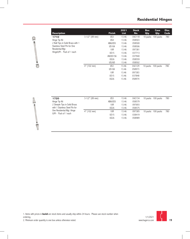

| <b>Description</b>                                                                                                |                  | <b>Finish</b>      | 2021<br><b>List</b> | <b>Stock</b><br>No. | <b>Box</b><br>Qty. | Case<br>Qty. | Disc.<br>Code |
|-------------------------------------------------------------------------------------------------------------------|------------------|--------------------|---------------------|---------------------|--------------------|--------------|---------------|
| 1710                                                                                                              | $3-1/2"$ (89 mm) | US3                | 13.46               | 042118              | 10 packs           | 100 packs    | 780           |
| Hinge Tip Kit                                                                                                     |                  | US4                | 13.46               | 058503              |                    |              |               |
| 2 Ball Tips in Solid Brass with 1<br>Stainless Steel Pin for One<br>Residential Wgt.<br>HingeU/M - Pack of 1 each |                  | ABA/US5            | 13.46               | 058500              |                    |              |               |
|                                                                                                                   |                  | US <sub>10</sub> A | 13.46               | 058506              |                    |              |               |
|                                                                                                                   |                  | 10R                | 13.46               | 097381              |                    |              |               |
|                                                                                                                   |                  | <b>US15</b>        | 13.46               | 037713              |                    |              |               |
|                                                                                                                   |                  | AN/US15A           | 13.46               | 037940              |                    |              |               |
|                                                                                                                   |                  | <b>US26</b>        | 13.46               | 058559              |                    |              |               |
|                                                                                                                   |                  | US26D              | 13.46               | 058502              |                    |              |               |
|                                                                                                                   | $4"$ (102 mm)    | US3                | 13.46               | 042129              | 10 packs           | 100 packs    | 780           |
|                                                                                                                   |                  | US <sub>10</sub> A | 13.46               | 058973              |                    |              |               |
|                                                                                                                   |                  | 10 <sub>R</sub>    | 13.46               | 097383              |                    |              |               |
|                                                                                                                   |                  | <b>US15</b>        | 13.46               | 037848              |                    |              |               |
|                                                                                                                   |                  | <b>US26</b>        | 13.46               | 058974              |                    |              |               |



| 1720                           | $3-1/2"$ (89 mm) | US <sub>3</sub> | 13.46 | 042134                       | 10 packs 100 packs | 780 |
|--------------------------------|------------------|-----------------|-------|------------------------------|--------------------|-----|
| Hinge Tip Kit                  |                  | ABA/US5         | 13.46 | 058579                       |                    |     |
| 2 Steeple Tips in Solid Brass  |                  | 10R             | 13.46 | 097693                       |                    |     |
| with 1 Stainless Steel Pin for |                  | <b>US26</b>     | 13.46 | 058575                       |                    |     |
| One Residential Wqt. Hinge     | $4"$ (102 mm)    | 10 <sub>R</sub> | 13.46 | 097385                       |                    | 780 |
| U/M - Pack of 1 each           |                  | <b>US15</b>     | 13.46 | 10 packs 100 packs<br>038419 |                    |     |
|                                |                  | <b>US26</b>     | 13.46 | 058989                       |                    |     |
|                                |                  |                 |       |                              |                    |     |

1. Items with prices in **bold** are stock items and usually ship within 24 hours. Please use stock number when ordering.

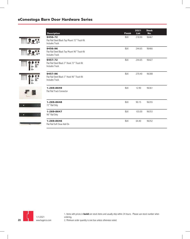#### **eConestoga Barn Door Hardware Series**

| <b>Description</b>                                                                | <b>Finish</b> | 2021<br><b>List</b> | <b>Stock</b><br>No. |
|-----------------------------------------------------------------------------------|---------------|---------------------|---------------------|
| 9456-72<br>Flat Rail Steel Black Top Mount 72" Track Kit<br><b>Includes Track</b> | <b>BLK</b>    | 218.90              | 96467               |
| 9456-96<br>Flat Rail Steel Black Top Mount 96" Track Kit<br><b>Includes Track</b> | <b>BLK</b>    | 244.65              | 96466               |
| 9457-72<br>Flat Rail Steel Black 3" Hook 72" Track Kit<br><b>Includes Track</b>   | <b>BLK</b>    | 244.65              | 96427               |
| 9457-96<br>Flat Rail Steel Black 3" Hook 96" Track Kit<br><b>Includes Track</b>   | <b>BLK</b>    | 270.40              | 96388               |
| 1-269-8649<br>Flat Rail Track Connector                                           | <b>BLK</b>    | 12.90               | 96361               |
| 1-269-8648<br>72" Rail Only                                                       | <b>BLK</b>    | 90.15               | 96355               |
| 1-269-8647<br>96" Rail Only                                                       | <b>BLK</b>    | 103.00              | 96353               |
| 1-269-8646<br>Flat Rail Soft Close Add On                                         | <b>BLK</b>    | 64.40               | 96352               |



1. Items with prices in **bold** are stock items and usually ship within 24 hours. Please use stock number when ordering. 2. Minimum order quantity is one box unless otherwise noted.